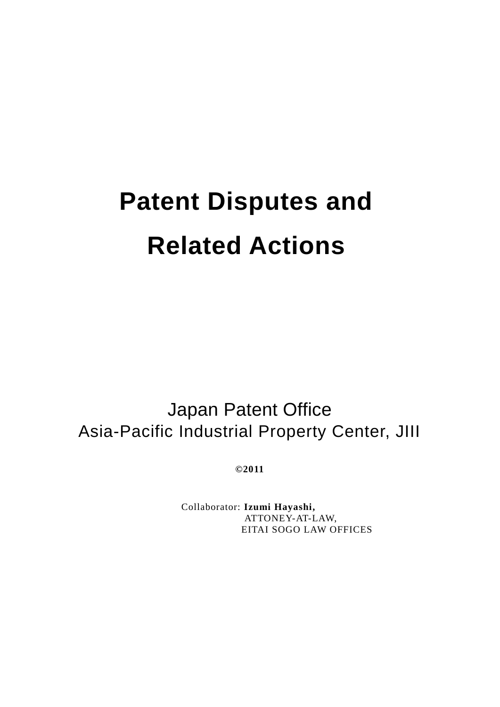# **Patent Disputes and Related Actions**

Japan Patent Office Asia-Pacific Industrial Property Center, JIII

**©2011**

Collaborator: **Izumi Hayashi,** ATTONEY-AT-LAW, EITAI SOGO LAW OFFICES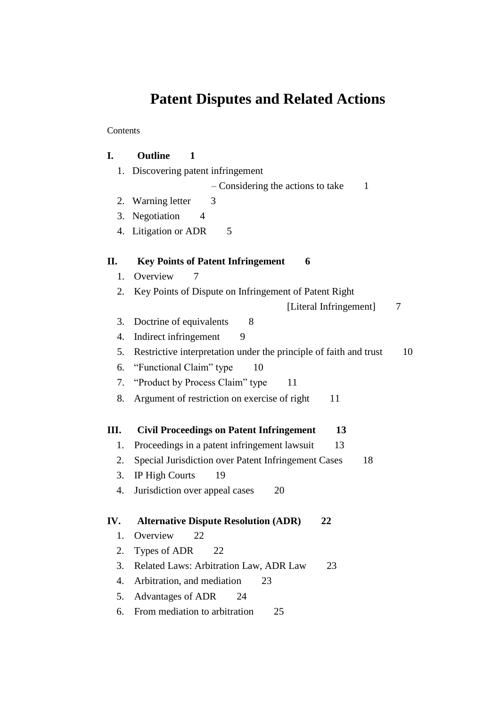# **Patent Disputes and Related Actions**

Contents

| I.  | <b>Outline</b><br>1                                                     |  |  |
|-----|-------------------------------------------------------------------------|--|--|
| 1.  | Discovering patent infringement                                         |  |  |
|     | - Considering the actions to take<br>$\mathbf{1}$                       |  |  |
|     | 2. Warning letter<br>3                                                  |  |  |
| 3.  | Negotiation<br>4                                                        |  |  |
|     | 4. Litigation or ADR<br>5                                               |  |  |
| П.  | <b>Key Points of Patent Infringement</b><br>6                           |  |  |
| 1.  | Overview<br>7                                                           |  |  |
| 2.  | Key Points of Dispute on Infringement of Patent Right                   |  |  |
|     | [Literal Infringement]<br>7                                             |  |  |
| 3.  | Doctrine of equivalents<br>8                                            |  |  |
| 4.  | Indirect infringement<br>9                                              |  |  |
| 5.  | Restrictive interpretation under the principle of faith and trust<br>10 |  |  |
| 6.  | "Functional Claim" type<br>10                                           |  |  |
| 7.  | "Product by Process Claim" type<br>11                                   |  |  |
| 8.  | Argument of restriction on exercise of right<br>11                      |  |  |
| Ш.  | <b>Civil Proceedings on Patent Infringement</b><br>13                   |  |  |
| 1.  | Proceedings in a patent infringement lawsuit<br>13                      |  |  |
| 2.  | Special Jurisdiction over Patent Infringement Cases<br>18               |  |  |
| 3.  | <b>IP High Courts</b><br>19                                             |  |  |
| 4.  | Jurisdiction over appeal cases<br>20                                    |  |  |
| IV. | <b>Alternative Dispute Resolution (ADR)</b><br>22                       |  |  |
| 1.  | Overview<br>22                                                          |  |  |
| 2.  | Types of ADR<br>22                                                      |  |  |
| 3.  | Related Laws: Arbitration Law, ADR Law<br>23                            |  |  |
| 4.  | Arbitration, and mediation<br>23                                        |  |  |
| 5.  | <b>Advantages of ADR</b><br>24                                          |  |  |
| 6.  | From mediation to arbitration<br>25                                     |  |  |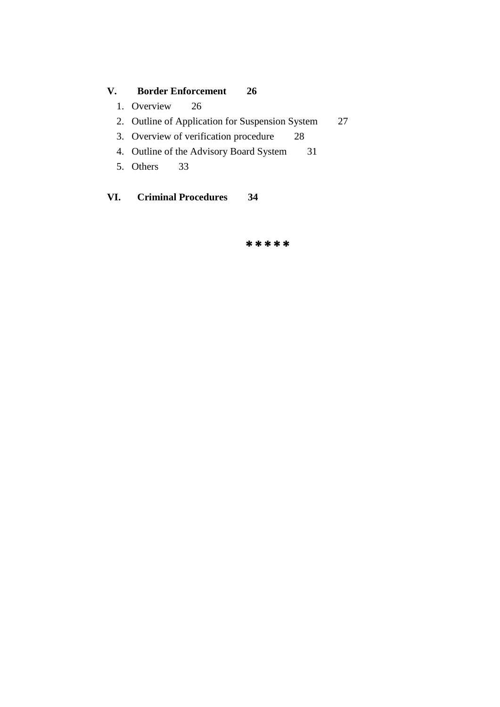# **V. Border Enforcement 26**

- 1. Overview 26
- 2. Outline of Application for Suspension System 27
- 3. Overview of verification procedure 28
- 4. Outline of the Advisory Board System 31
- 5. Others 33

**VI. Criminal Procedures 34**

\*\*\*\*\*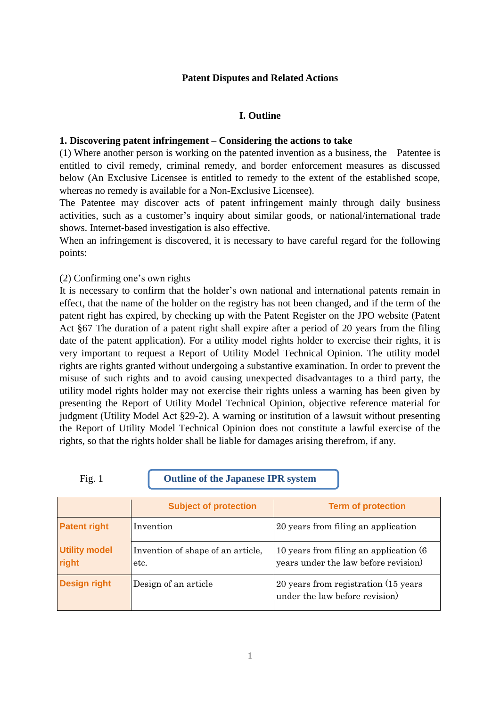#### **Patent Disputes and Related Actions**

#### **I. Outline**

#### **1. Discovering patent infringement – Considering the actions to take**

(1) Where another person is working on the patented invention as a business, the Patentee is entitled to civil remedy, criminal remedy, and border enforcement measures as discussed below (An Exclusive Licensee is entitled to remedy to the extent of the established scope, whereas no remedy is available for a Non-Exclusive Licensee).

The Patentee may discover acts of patent infringement mainly through daily business activities, such as a customer's inquiry about similar goods, or national/international trade shows. Internet-based investigation is also effective.

When an infringement is discovered, it is necessary to have careful regard for the following points:

#### (2) Confirming one's own rights

It is necessary to confirm that the holder's own national and international patents remain in effect, that the name of the holder on the registry has not been changed, and if the term of the patent right has expired, by checking up with the Patent Register on the JPO website (Patent Act §67 The duration of a patent right shall expire after a period of 20 years from the filing date of the patent application). For a utility model rights holder to exercise their rights, it is very important to request a Report of Utility Model Technical Opinion. The utility model rights are rights granted without undergoing a substantive examination. In order to prevent the misuse of such rights and to avoid causing unexpected disadvantages to a third party, the utility model rights holder may not exercise their rights unless a warning has been given by presenting the Report of Utility Model Technical Opinion, objective reference material for judgment (Utility Model Act §29-2). A warning or institution of a lawsuit without presenting the Report of Utility Model Technical Opinion does not constitute a lawful exercise of the rights, so that the rights holder shall be liable for damages arising therefrom, if any.

Fig. 1 **Outline of the Japanese IPR system**

|                               | <b>Subject of protection</b>              | <b>Term of protection</b>                                                       |
|-------------------------------|-------------------------------------------|---------------------------------------------------------------------------------|
| <b>Patent right</b>           | Invention                                 | 20 years from filing an application                                             |
| <b>Utility model</b><br>right | Invention of shape of an article,<br>etc. | 10 years from filing an application (6)<br>years under the law before revision) |
| <b>Design right</b>           | Design of an article                      | 20 years from registration (15 years)<br>under the law before revision)         |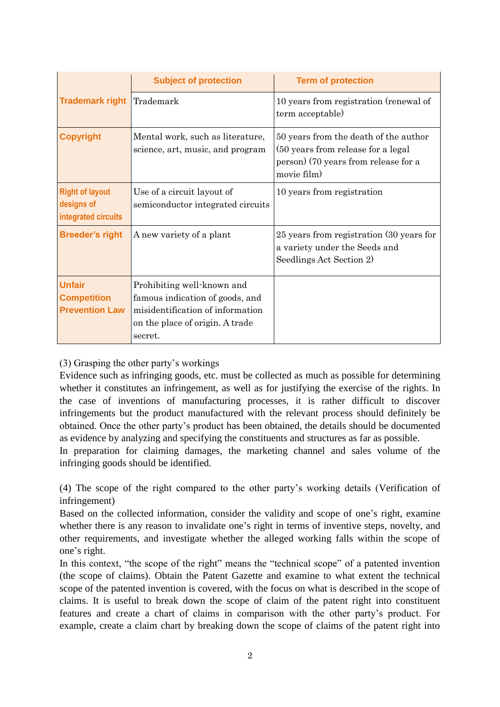|                                                              | <b>Subject of protection</b>                                                                                                                    | <b>Term of protection</b>                                                                                                           |
|--------------------------------------------------------------|-------------------------------------------------------------------------------------------------------------------------------------------------|-------------------------------------------------------------------------------------------------------------------------------------|
| <b>Trademark right</b>                                       | Trademark                                                                                                                                       | 10 years from registration (renewal of<br>term acceptable)                                                                          |
| <b>Copyright</b>                                             | Mental work, such as literature,<br>science, art, music, and program                                                                            | 50 years from the death of the author<br>(50 years from release for a legal)<br>person) (70 years from release for a<br>movie film) |
| <b>Right of layout</b><br>designs of<br>integrated circuits  | Use of a circuit layout of<br>semiconductor integrated circuits                                                                                 | 10 years from registration                                                                                                          |
| <b>Breeder's right</b>                                       | A new variety of a plant                                                                                                                        | 25 years from registration (30 years for<br>a variety under the Seeds and<br>Seedlings Act Section 2)                               |
| <b>Unfair</b><br><b>Competition</b><br><b>Prevention Law</b> | Prohibiting well-known and<br>famous indication of goods, and<br>misidentification of information<br>on the place of origin. A trade<br>secret. |                                                                                                                                     |

(3) Grasping the other party's workings

Evidence such as infringing goods, etc. must be collected as much as possible for determining whether it constitutes an infringement, as well as for justifying the exercise of the rights. In the case of inventions of manufacturing processes, it is rather difficult to discover infringements but the product manufactured with the relevant process should definitely be obtained. Once the other party's product has been obtained, the details should be documented as evidence by analyzing and specifying the constituents and structures as far as possible.

In preparation for claiming damages, the marketing channel and sales volume of the infringing goods should be identified.

(4) The scope of the right compared to the other party's working details (Verification of infringement)

Based on the collected information, consider the validity and scope of one's right, examine whether there is any reason to invalidate one's right in terms of inventive steps, novelty, and other requirements, and investigate whether the alleged working falls within the scope of one's right.

In this context, "the scope of the right" means the "technical scope" of a patented invention (the scope of claims). Obtain the Patent Gazette and examine to what extent the technical scope of the patented invention is covered, with the focus on what is described in the scope of claims. It is useful to break down the scope of claim of the patent right into constituent features and create a chart of claims in comparison with the other party's product. For example, create a claim chart by breaking down the scope of claims of the patent right into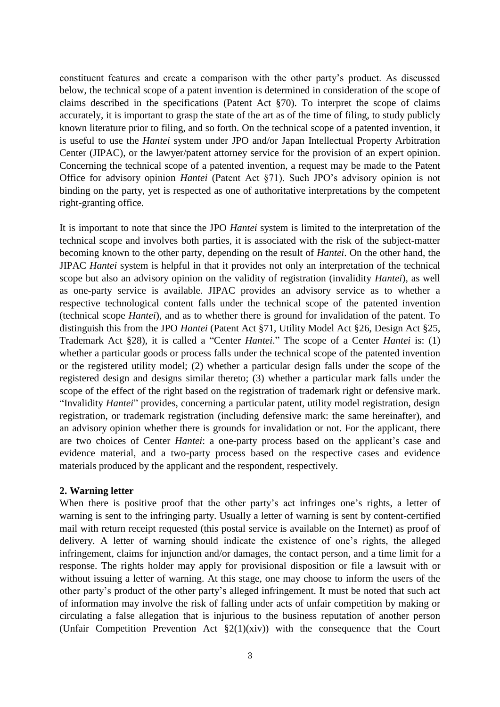constituent features and create a comparison with the other party's product. As discussed below, the technical scope of a patent invention is determined in consideration of the scope of claims described in the specifications (Patent Act §70). To interpret the scope of claims accurately, it is important to grasp the state of the art as of the time of filing, to study publicly known literature prior to filing, and so forth. On the technical scope of a patented invention, it is useful to use the *Hantei* system under JPO and/or Japan Intellectual Property Arbitration Center (JIPAC), or the lawyer/patent attorney service for the provision of an expert opinion. Concerning the technical scope of a patented invention, a request may be made to the Patent Office for advisory opinion *Hantei* (Patent Act §71). Such JPO's advisory opinion is not binding on the party, yet is respected as one of authoritative interpretations by the competent right-granting office.

It is important to note that since the JPO *Hantei* system is limited to the interpretation of the technical scope and involves both parties, it is associated with the risk of the subject-matter becoming known to the other party, depending on the result of *Hantei*. On the other hand, the JIPAC *Hantei* system is helpful in that it provides not only an interpretation of the technical scope but also an advisory opinion on the validity of registration (invalidity *Hantei*), as well as one-party service is available. JIPAC provides an advisory service as to whether a respective technological content falls under the technical scope of the patented invention (technical scope *Hantei*), and as to whether there is ground for invalidation of the patent. To distinguish this from the JPO *Hantei* (Patent Act §71, Utility Model Act §26, Design Act §25, Trademark Act §28), it is called a "Center *Hantei*." The scope of a Center *Hantei* is: (1) whether a particular goods or process falls under the technical scope of the patented invention or the registered utility model; (2) whether a particular design falls under the scope of the registered design and designs similar thereto; (3) whether a particular mark falls under the scope of the effect of the right based on the registration of trademark right or defensive mark. ―Invalidity *Hantei*‖ provides, concerning a particular patent, utility model registration, design registration, or trademark registration (including defensive mark: the same hereinafter), and an advisory opinion whether there is grounds for invalidation or not. For the applicant, there are two choices of Center *Hantei*: a one-party process based on the applicant's case and evidence material, and a two-party process based on the respective cases and evidence materials produced by the applicant and the respondent, respectively.

#### **2. Warning letter**

When there is positive proof that the other party's act infringes one's rights, a letter of warning is sent to the infringing party. Usually a letter of warning is sent by content-certified mail with return receipt requested (this postal service is available on the Internet) as proof of delivery. A letter of warning should indicate the existence of one's rights, the alleged infringement, claims for injunction and/or damages, the contact person, and a time limit for a response. The rights holder may apply for provisional disposition or file a lawsuit with or without issuing a letter of warning. At this stage, one may choose to inform the users of the other party's product of the other party's alleged infringement. It must be noted that such act of information may involve the risk of falling under acts of unfair competition by making or circulating a false allegation that is injurious to the business reputation of another person (Unfair Competition Prevention Act §2(1)(xiv)) with the consequence that the Court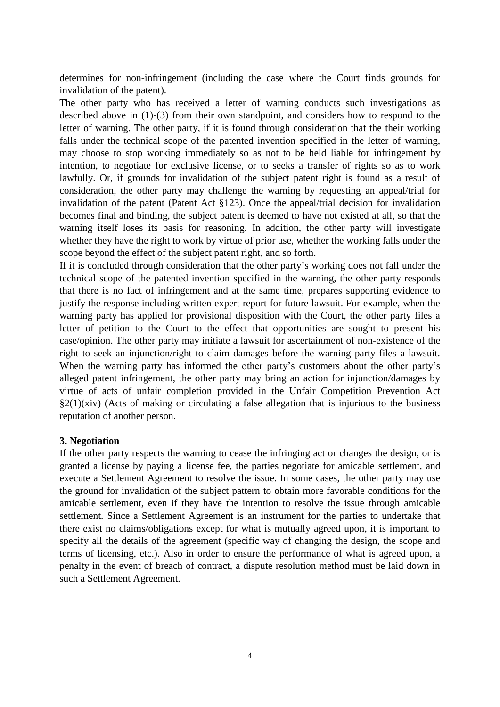determines for non-infringement (including the case where the Court finds grounds for invalidation of the patent).

The other party who has received a letter of warning conducts such investigations as described above in (1)-(3) from their own standpoint, and considers how to respond to the letter of warning. The other party, if it is found through consideration that the their working falls under the technical scope of the patented invention specified in the letter of warning, may choose to stop working immediately so as not to be held liable for infringement by intention, to negotiate for exclusive license, or to seeks a transfer of rights so as to work lawfully. Or, if grounds for invalidation of the subject patent right is found as a result of consideration, the other party may challenge the warning by requesting an appeal/trial for invalidation of the patent (Patent Act §123). Once the appeal/trial decision for invalidation becomes final and binding, the subject patent is deemed to have not existed at all, so that the warning itself loses its basis for reasoning. In addition, the other party will investigate whether they have the right to work by virtue of prior use, whether the working falls under the scope beyond the effect of the subject patent right, and so forth.

If it is concluded through consideration that the other party's working does not fall under the technical scope of the patented invention specified in the warning, the other party responds that there is no fact of infringement and at the same time, prepares supporting evidence to justify the response including written expert report for future lawsuit. For example, when the warning party has applied for provisional disposition with the Court, the other party files a letter of petition to the Court to the effect that opportunities are sought to present his case/opinion. The other party may initiate a lawsuit for ascertainment of non-existence of the right to seek an injunction/right to claim damages before the warning party files a lawsuit. When the warning party has informed the other party's customers about the other party's alleged patent infringement, the other party may bring an action for injunction/damages by virtue of acts of unfair completion provided in the Unfair Competition Prevention Act  $\S2(1)(xiv)$  (Acts of making or circulating a false allegation that is injurious to the business reputation of another person.

#### **3. Negotiation**

If the other party respects the warning to cease the infringing act or changes the design, or is granted a license by paying a license fee, the parties negotiate for amicable settlement, and execute a Settlement Agreement to resolve the issue. In some cases, the other party may use the ground for invalidation of the subject pattern to obtain more favorable conditions for the amicable settlement, even if they have the intention to resolve the issue through amicable settlement. Since a Settlement Agreement is an instrument for the parties to undertake that there exist no claims/obligations except for what is mutually agreed upon, it is important to specify all the details of the agreement (specific way of changing the design, the scope and terms of licensing, etc.). Also in order to ensure the performance of what is agreed upon, a penalty in the event of breach of contract, a dispute resolution method must be laid down in such a Settlement Agreement.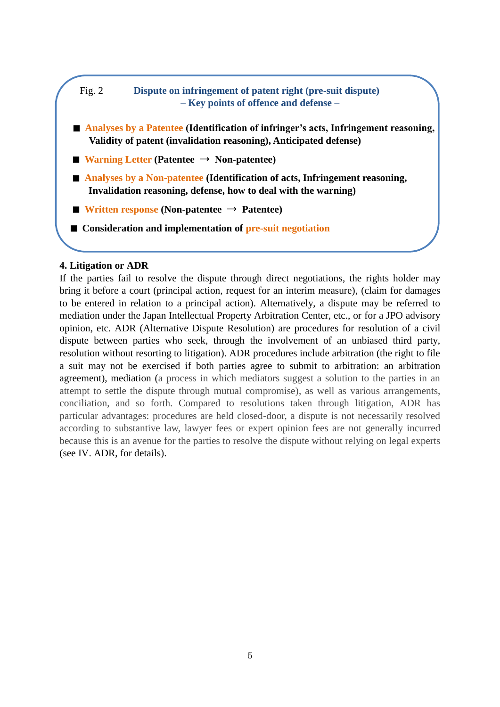# Fig. 2 **Dispute on infringement of patent right (pre-suit dispute) – Key points of offence and defense –**

- **Analyses by a Patentee** (Identification of infringer's acts, Infringement reasoning, **Validity of patent (invalidation reasoning), Anticipated defense)**
- **Warning Letter (Patentee** → **Non-patentee)**
- **Analyses by a Non-patentee** (Identification of acts, Infringement reasoning, **Invalidation reasoning, defense, how to deal with the warning)**
- **Written response** (Non-patentee  $\rightarrow$  Patentee)
- **Consideration and implementation of pre-suit negotiation**

#### **4. Litigation or ADR**

If the parties fail to resolve the dispute through direct negotiations, the rights holder may bring it before a court (principal action, request for an interim measure), (claim for damages to be entered in relation to a principal action). Alternatively, a dispute may be referred to mediation under the Japan Intellectual Property Arbitration Center, etc., or for a JPO advisory opinion, etc. ADR (Alternative Dispute Resolution) are procedures for resolution of a civil dispute between parties who seek, through the involvement of an unbiased third party, resolution without resorting to litigation). ADR procedures include arbitration (the right to file a suit may not be exercised if both parties agree to submit to arbitration: an arbitration agreement), mediation (a process in which mediators suggest a solution to the parties in an attempt to settle the dispute through mutual compromise), as well as various arrangements, conciliation, and so forth. Compared to resolutions taken through litigation, ADR has particular advantages: procedures are held closed-door, a dispute is not necessarily resolved according to substantive law, lawyer fees or expert opinion fees are not generally incurred because this is an avenue for the parties to resolve the dispute without relying on legal experts (see IV. ADR, for details).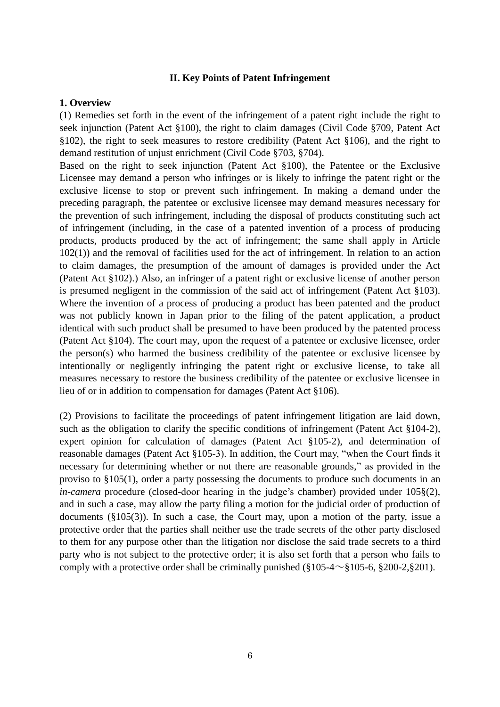#### **II. Key Points of Patent Infringement**

#### **1. Overview**

(1) Remedies set forth in the event of the infringement of a patent right include the right to seek injunction (Patent Act §100), the right to claim damages (Civil Code §709, Patent Act §102), the right to seek measures to restore credibility (Patent Act §106), and the right to demand restitution of unjust enrichment (Civil Code §703, §704).

Based on the right to seek injunction (Patent Act §100), the Patentee or the Exclusive Licensee may demand a person who infringes or is likely to infringe the patent right or the exclusive license to stop or prevent such infringement. In making a demand under the preceding paragraph, the patentee or exclusive licensee may demand measures necessary for the prevention of such infringement, including the disposal of products constituting such act of infringement (including, in the case of a patented invention of a process of producing products, products produced by the act of infringement; the same shall apply in Article 102(1)) and the removal of facilities used for the act of infringement. In relation to an action to claim damages, the presumption of the amount of damages is provided under the Act (Patent Act §102).) Also, an infringer of a patent right or exclusive license of another person is presumed negligent in the commission of the said act of infringement (Patent Act §103). Where the invention of a process of producing a product has been patented and the product was not publicly known in Japan prior to the filing of the patent application, a product identical with such product shall be presumed to have been produced by the patented process (Patent Act §104). The court may, upon the request of a patentee or exclusive licensee, order the person(s) who harmed the business credibility of the patentee or exclusive licensee by intentionally or negligently infringing the patent right or exclusive license, to take all measures necessary to restore the business credibility of the patentee or exclusive licensee in lieu of or in addition to compensation for damages (Patent Act §106).

(2) Provisions to facilitate the proceedings of patent infringement litigation are laid down, such as the obligation to clarify the specific conditions of infringement (Patent Act §104-2), expert opinion for calculation of damages (Patent Act §105-2), and determination of reasonable damages (Patent Act  $\S 105-3$ ). In addition, the Court may, "when the Court finds it necessary for determining whether or not there are reasonable grounds," as provided in the proviso to §105(1), order a party possessing the documents to produce such documents in an *in-camera* procedure (closed-door hearing in the judge's chamber) provided under 105§(2), and in such a case, may allow the party filing a motion for the judicial order of production of documents (§105(3)). In such a case, the Court may, upon a motion of the party, issue a protective order that the parties shall neither use the trade secrets of the other party disclosed to them for any purpose other than the litigation nor disclose the said trade secrets to a third party who is not subject to the protective order; it is also set forth that a person who fails to comply with a protective order shall be criminally punished  $(\S105-4\sim \S105-6, \S200-2, \S201)$ .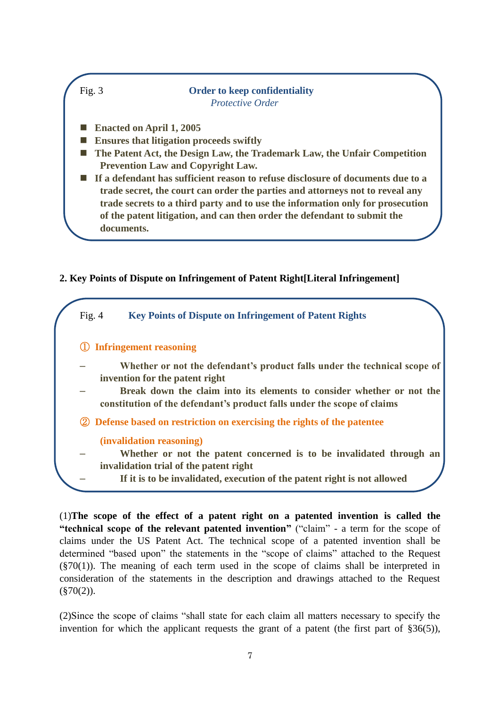

# **2. Key Points of Dispute on Infringement of Patent Right[Literal Infringement]**



(1)**The scope of the effect of a patent right on a patented invention is called the "technical scope of the relevant patented invention"** ("claim" - a term for the scope of claims under the US Patent Act. The technical scope of a patented invention shall be determined "based upon" the statements in the "scope of claims" attached to the Request  $(\frac{870(1)}{1})$ . The meaning of each term used in the scope of claims shall be interpreted in consideration of the statements in the description and drawings attached to the Request  $(\$70(2))$ .

(2) Since the scope of claims "shall state for each claim all matters necessary to specify the invention for which the applicant requests the grant of a patent (the first part of §36(5)),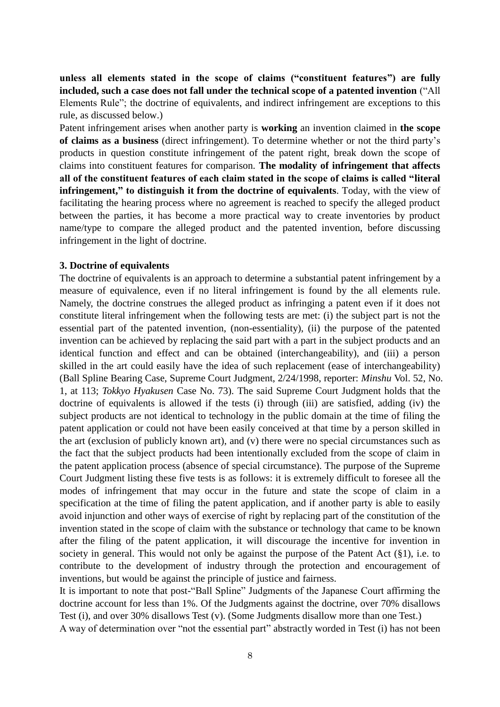**unless all elements stated in the scope of claims ("constituent features") are fully included, such a case does not fall under the technical scope of a patented invention** ("All Elements Rule"; the doctrine of equivalents, and indirect infringement are exceptions to this rule, as discussed below.)

Patent infringement arises when another party is **working** an invention claimed in **the scope of claims as a business** (direct infringement). To determine whether or not the third party's products in question constitute infringement of the patent right, break down the scope of claims into constituent features for comparison. **The modality of infringement that affects all of the constituent features of each claim stated in the scope of claims is called "literal infringement," to distinguish it from the doctrine of equivalents**. Today, with the view of facilitating the hearing process where no agreement is reached to specify the alleged product between the parties, it has become a more practical way to create inventories by product name/type to compare the alleged product and the patented invention, before discussing infringement in the light of doctrine.

#### **3. Doctrine of equivalents**

The doctrine of equivalents is an approach to determine a substantial patent infringement by a measure of equivalence, even if no literal infringement is found by the all elements rule. Namely, the doctrine construes the alleged product as infringing a patent even if it does not constitute literal infringement when the following tests are met: (i) the subject part is not the essential part of the patented invention, (non-essentiality), (ii) the purpose of the patented invention can be achieved by replacing the said part with a part in the subject products and an identical function and effect and can be obtained (interchangeability), and (iii) a person skilled in the art could easily have the idea of such replacement (ease of interchangeability) (Ball Spline Bearing Case, Supreme Court Judgment, 2/24/1998, reporter: *Minshu* Vol. 52, No. 1, at 113; *Tokkyo Hyakusen* Case No. 73). The said Supreme Court Judgment holds that the doctrine of equivalents is allowed if the tests (i) through (iii) are satisfied, adding (iv) the subject products are not identical to technology in the public domain at the time of filing the patent application or could not have been easily conceived at that time by a person skilled in the art (exclusion of publicly known art), and (v) there were no special circumstances such as the fact that the subject products had been intentionally excluded from the scope of claim in the patent application process (absence of special circumstance). The purpose of the Supreme Court Judgment listing these five tests is as follows: it is extremely difficult to foresee all the modes of infringement that may occur in the future and state the scope of claim in a specification at the time of filing the patent application, and if another party is able to easily avoid injunction and other ways of exercise of right by replacing part of the constitution of the invention stated in the scope of claim with the substance or technology that came to be known after the filing of the patent application, it will discourage the incentive for invention in society in general. This would not only be against the purpose of the Patent Act (§1), i.e. to contribute to the development of industry through the protection and encouragement of inventions, but would be against the principle of justice and fairness.

It is important to note that post-"Ball Spline" Judgments of the Japanese Court affirming the doctrine account for less than 1%. Of the Judgments against the doctrine, over 70% disallows Test (i), and over 30% disallows Test (v). (Some Judgments disallow more than one Test.)

A way of determination over "not the essential part" abstractly worded in Test (i) has not been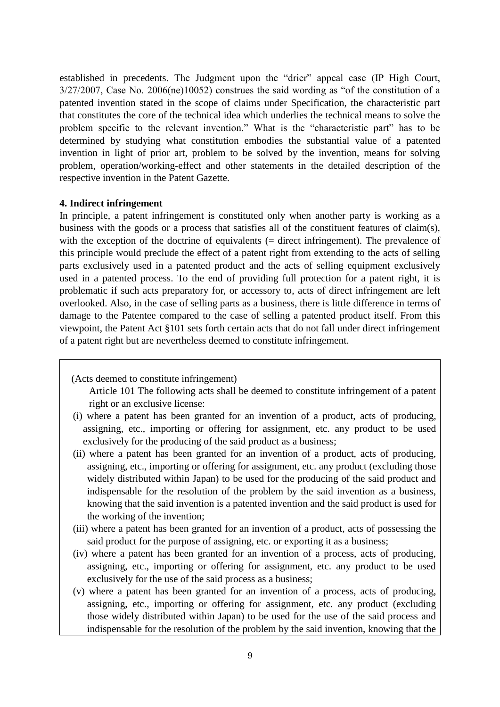established in precedents. The Judgment upon the "drier" appeal case (IP High Court,  $3/27/2007$ , Case No. 2006(ne)10052) construes the said wording as "of the constitution of a patented invention stated in the scope of claims under Specification, the characteristic part that constitutes the core of the technical idea which underlies the technical means to solve the problem specific to the relevant invention." What is the "characteristic part" has to be determined by studying what constitution embodies the substantial value of a patented invention in light of prior art, problem to be solved by the invention, means for solving problem, operation/working-effect and other statements in the detailed description of the respective invention in the Patent Gazette.

#### **4. Indirect infringement**

In principle, a patent infringement is constituted only when another party is working as a business with the goods or a process that satisfies all of the constituent features of claim(s), with the exception of the doctrine of equivalents (= direct infringement). The prevalence of this principle would preclude the effect of a patent right from extending to the acts of selling parts exclusively used in a patented product and the acts of selling equipment exclusively used in a patented process. To the end of providing full protection for a patent right, it is problematic if such acts preparatory for, or accessory to, acts of direct infringement are left overlooked. Also, in the case of selling parts as a business, there is little difference in terms of damage to the Patentee compared to the case of selling a patented product itself. From this viewpoint, the Patent Act §101 sets forth certain acts that do not fall under direct infringement of a patent right but are nevertheless deemed to constitute infringement.

(Acts deemed to constitute infringement)

Article 101 The following acts shall be deemed to constitute infringement of a patent right or an exclusive license:

- (i) where a patent has been granted for an invention of a product, acts of producing, assigning, etc., importing or offering for assignment, etc. any product to be used exclusively for the producing of the said product as a business;
- (ii) where a patent has been granted for an invention of a product, acts of producing, assigning, etc., importing or offering for assignment, etc. any product (excluding those widely distributed within Japan) to be used for the producing of the said product and indispensable for the resolution of the problem by the said invention as a business, knowing that the said invention is a patented invention and the said product is used for the working of the invention;
- (iii) where a patent has been granted for an invention of a product, acts of possessing the said product for the purpose of assigning, etc. or exporting it as a business;
- (iv) where a patent has been granted for an invention of a process, acts of producing, assigning, etc., importing or offering for assignment, etc. any product to be used exclusively for the use of the said process as a business;
- (v) where a patent has been granted for an invention of a process, acts of producing, assigning, etc., importing or offering for assignment, etc. any product (excluding those widely distributed within Japan) to be used for the use of the said process and indispensable for the resolution of the problem by the said invention, knowing that the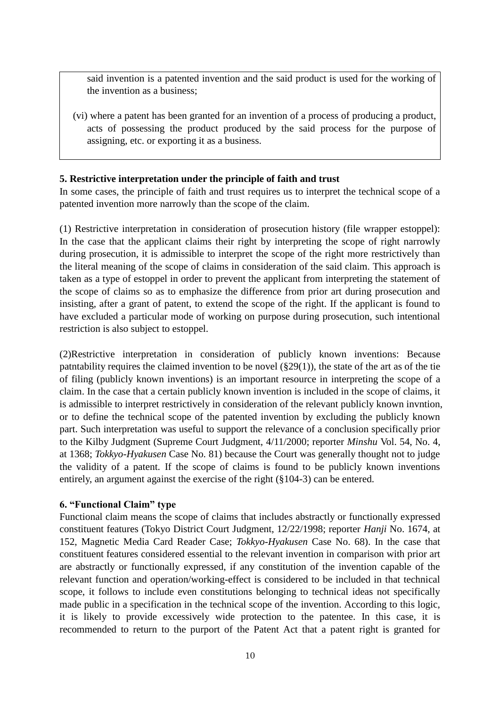said invention is a patented invention and the said product is used for the working of the invention as a business;

(vi) where a patent has been granted for an invention of a process of producing a product, acts of possessing the product produced by the said process for the purpose of assigning, etc. or exporting it as a business.

# **5. Restrictive interpretation under the principle of faith and trust**

In some cases, the principle of faith and trust requires us to interpret the technical scope of a patented invention more narrowly than the scope of the claim.

(1) Restrictive interpretation in consideration of prosecution history (file wrapper estoppel): In the case that the applicant claims their right by interpreting the scope of right narrowly during prosecution, it is admissible to interpret the scope of the right more restrictively than the literal meaning of the scope of claims in consideration of the said claim. This approach is taken as a type of estoppel in order to prevent the applicant from interpreting the statement of the scope of claims so as to emphasize the difference from prior art during prosecution and insisting, after a grant of patent, to extend the scope of the right. If the applicant is found to have excluded a particular mode of working on purpose during prosecution, such intentional restriction is also subject to estoppel.

(2)Restrictive interpretation in consideration of publicly known inventions: Because patntability requires the claimed invention to be novel  $(\S 29(1))$ , the state of the art as of the tie of filing (publicly known inventions) is an important resource in interpreting the scope of a claim. In the case that a certain publicly known invention is included in the scope of claims, it is admissible to interpret restrictively in consideration of the relevant publicly known invntion, or to define the technical scope of the patented invention by excluding the publicly known part. Such interpretation was useful to support the relevance of a conclusion specifically prior to the Kilby Judgment (Supreme Court Judgment, 4/11/2000; reporter *Minshu* Vol. 54, No. 4, at 1368; *Tokkyo-Hyakusen* Case No. 81) because the Court was generally thought not to judge the validity of a patent. If the scope of claims is found to be publicly known inventions entirely, an argument against the exercise of the right (§104-3) can be entered.

# **6. "Functional Claim" type**

Functional claim means the scope of claims that includes abstractly or functionally expressed constituent features (Tokyo District Court Judgment, 12/22/1998; reporter *Hanji* No. 1674, at 152, Magnetic Media Card Reader Case; *Tokkyo-Hyakusen* Case No. 68). In the case that constituent features considered essential to the relevant invention in comparison with prior art are abstractly or functionally expressed, if any constitution of the invention capable of the relevant function and operation/working-effect is considered to be included in that technical scope, it follows to include even constitutions belonging to technical ideas not specifically made public in a specification in the technical scope of the invention. According to this logic, it is likely to provide excessively wide protection to the patentee. In this case, it is recommended to return to the purport of the Patent Act that a patent right is granted for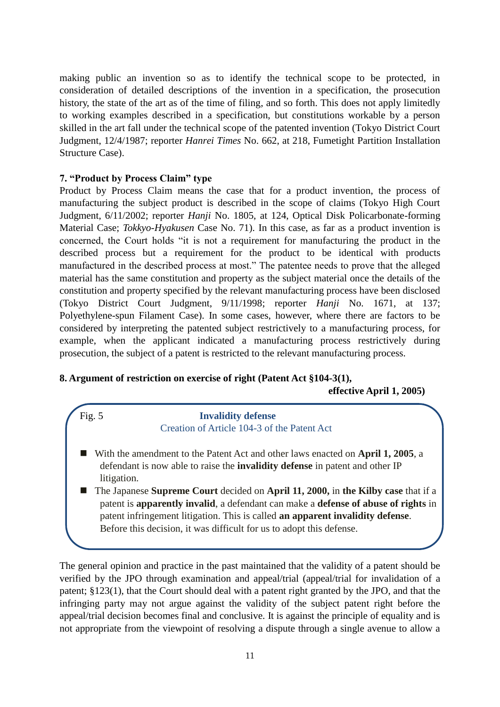making public an invention so as to identify the technical scope to be protected, in consideration of detailed descriptions of the invention in a specification, the prosecution history, the state of the art as of the time of filing, and so forth. This does not apply limitedly to working examples described in a specification, but constitutions workable by a person skilled in the art fall under the technical scope of the patented invention (Tokyo District Court Judgment, 12/4/1987; reporter *Hanrei Times* No. 662, at 218, Fumetight Partition Installation Structure Case).

# **7. "Product by Process Claim" type**

Product by Process Claim means the case that for a product invention, the process of manufacturing the subject product is described in the scope of claims (Tokyo High Court Judgment, 6/11/2002; reporter *Hanji* No. 1805, at 124, Optical Disk Policarbonate-forming Material Case; *Tokkyo-Hyakusen* Case No. 71). In this case, as far as a product invention is concerned, the Court holds "it is not a requirement for manufacturing the product in the described process but a requirement for the product to be identical with products manufactured in the described process at most." The patentee needs to prove that the alleged material has the same constitution and property as the subject material once the details of the constitution and property specified by the relevant manufacturing process have been disclosed (Tokyo District Court Judgment, 9/11/1998; reporter *Hanji* No. 1671, at 137; Polyethylene-spun Filament Case). In some cases, however, where there are factors to be considered by interpreting the patented subject restrictively to a manufacturing process, for example, when the applicant indicated a manufacturing process restrictively during prosecution, the subject of a patent is restricted to the relevant manufacturing process.

#### **8. Argument of restriction on exercise of right (Patent Act §104-3(1),**

**effective April 1, 2005)**

#### Fig. 5 **Invalidity defense** Creation of Article 104-3 of the Patent Act

- With the amendment to the Patent Act and other laws enacted on **April 1, 2005**, a defendant is now able to raise the **invalidity defense** in patent and other IP litigation.
- The Japanese **Supreme Court** decided on **April 11, 2000,** in **the Kilby case** that if a patent is **apparently invalid**, a defendant can make a **defense of abuse of rights** in patent infringement litigation. This is called **an apparent invalidity defense**. Before this decision, it was difficult for us to adopt this defense.

The general opinion and practice in the past maintained that the validity of a patent should be verified by the JPO through examination and appeal/trial (appeal/trial for invalidation of a patent; §123(1), that the Court should deal with a patent right granted by the JPO, and that the infringing party may not argue against the validity of the subject patent right before the appeal/trial decision becomes final and conclusive. It is against the principle of equality and is not appropriate from the viewpoint of resolving a dispute through a single avenue to allow a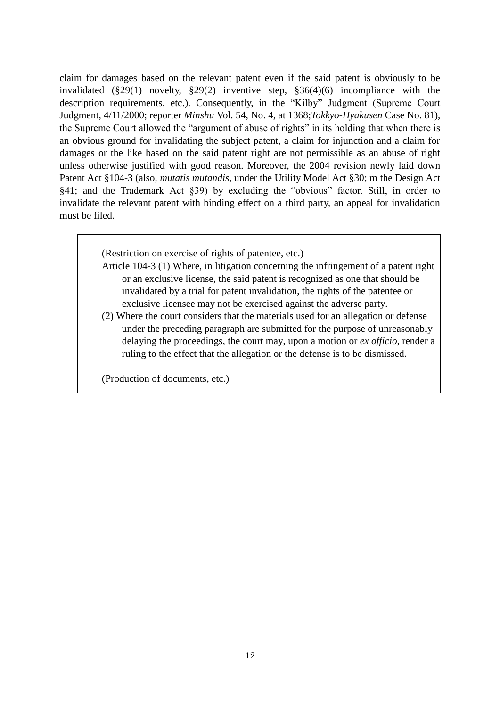claim for damages based on the relevant patent even if the said patent is obviously to be invalidated (§29(1) novelty, §29(2) inventive step, §36(4)(6) incompliance with the description requirements, etc.). Consequently, in the "Kilby" Judgment (Supreme Court Judgment, 4/11/2000; reporter *Minshu* Vol. 54, No. 4, at 1368;*Tokkyo-Hyakusen* Case No. 81), the Supreme Court allowed the "argument of abuse of rights" in its holding that when there is an obvious ground for invalidating the subject patent, a claim for injunction and a claim for damages or the like based on the said patent right are not permissible as an abuse of right unless otherwise justified with good reason. Moreover, the 2004 revision newly laid down Patent Act §104-3 (also, *mutatis mutandis,* under the Utility Model Act §30; m the Design Act  $§41$ ; and the Trademark Act  $§39$ ) by excluding the "obvious" factor. Still, in order to invalidate the relevant patent with binding effect on a third party, an appeal for invalidation must be filed.

(Restriction on exercise of rights of patentee, etc.)

- Article 104-3 (1) Where, in litigation concerning the infringement of a patent right or an exclusive license, the said patent is recognized as one that should be invalidated by a trial for patent invalidation, the rights of the patentee or exclusive licensee may not be exercised against the adverse party.
- (2) Where the court considers that the materials used for an allegation or defense under the preceding paragraph are submitted for the purpose of unreasonably delaying the proceedings, the court may, upon a motion or *ex officio,* render a ruling to the effect that the allegation or the defense is to be dismissed.

(Production of documents, etc.)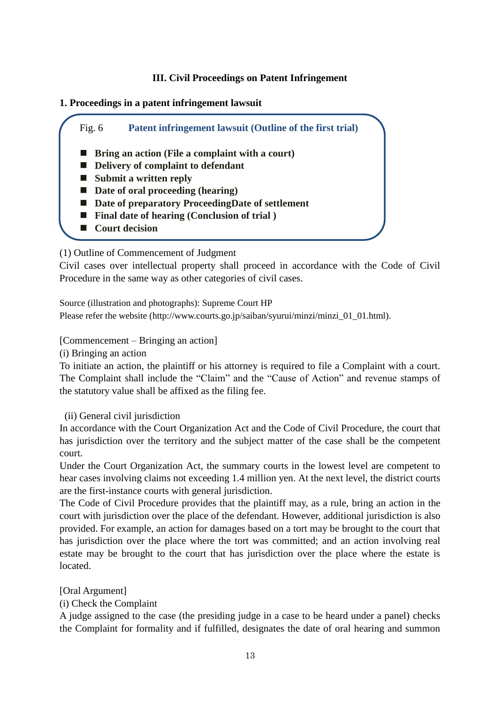# **III. Civil Proceedings on Patent Infringement**

# **1. Proceedings in a patent infringement lawsuit**



(1) Outline of Commencement of Judgment

Civil cases over intellectual property shall proceed in accordance with the Code of Civil Procedure in the same way as other categories of civil cases.

Source (illustration and photographs): Supreme Court HP Please refer the website (http://www.courts.go.jp/saiban/syurui/minzi/minzi\_01\_01.html).

[Commencement – Bringing an action]

(i) Bringing an action

To initiate an action, the plaintiff or his attorney is required to file a Complaint with a court. The Complaint shall include the "Claim" and the "Cause of Action" and revenue stamps of the statutory value shall be affixed as the filing fee.

(ii) General civil jurisdiction

In accordance with the Court Organization Act and the Code of Civil Procedure, the court that has jurisdiction over the territory and the subject matter of the case shall be the competent court.

Under the Court Organization Act, the summary courts in the lowest level are competent to hear cases involving claims not exceeding 1.4 million yen. At the next level, the district courts are the first-instance courts with general jurisdiction.

The Code of Civil Procedure provides that the plaintiff may, as a rule, bring an action in the court with jurisdiction over the place of the defendant. However, additional jurisdiction is also provided. For example, an action for damages based on a tort may be brought to the court that has jurisdiction over the place where the tort was committed; and an action involving real estate may be brought to the court that has jurisdiction over the place where the estate is located.

[Oral Argument]

(i) Check the Complaint

A judge assigned to the case (the presiding judge in a case to be heard under a panel) checks the Complaint for formality and if fulfilled, designates the date of oral hearing and summon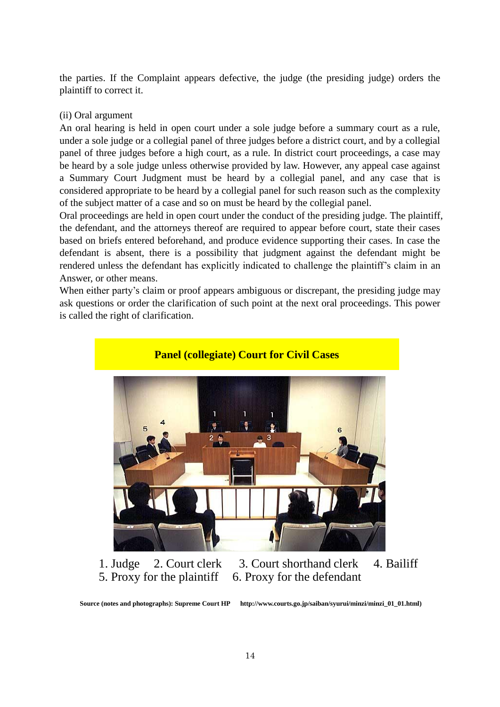the parties. If the Complaint appears defective, the judge (the presiding judge) orders the plaintiff to correct it.

#### (ii) Oral argument

An oral hearing is held in open court under a sole judge before a summary court as a rule, under a sole judge or a collegial panel of three judges before a district court, and by a collegial panel of three judges before a high court, as a rule. In district court proceedings, a case may be heard by a sole judge unless otherwise provided by law. However, any appeal case against a Summary Court Judgment must be heard by a collegial panel, and any case that is considered appropriate to be heard by a collegial panel for such reason such as the complexity of the subject matter of a case and so on must be heard by the collegial panel.

Oral proceedings are held in open court under the conduct of the presiding judge. The plaintiff, the defendant, and the attorneys thereof are required to appear before court, state their cases based on briefs entered beforehand, and produce evidence supporting their cases. In case the defendant is absent, there is a possibility that judgment against the defendant might be rendered unless the defendant has explicitly indicated to challenge the plaintiff's claim in an Answer, or other means.

When either party's claim or proof appears ambiguous or discrepant, the presiding judge may ask questions or order the clarification of such point at the next oral proceedings. This power is called the right of clarification.



1. Judge 2. Court clerk 3. Court shorthand clerk 4. Bailiff 5. Proxy for the plaintiff 6. Proxy for the defendant

**Source (notes and photographs): Supreme Court HP http://www.courts.go.jp/saiban/syurui/minzi/minzi\_01\_01.html)**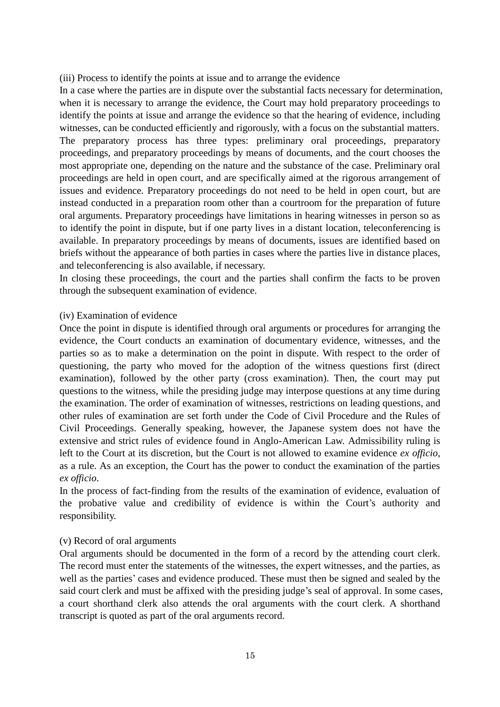(iii) Process to identify the points at issue and to arrange the evidence

In a case where the parties are in dispute over the substantial facts necessary for determination, when it is necessary to arrange the evidence, the Court may hold preparatory proceedings to identify the points at issue and arrange the evidence so that the hearing of evidence, including witnesses, can be conducted efficiently and rigorously, with a focus on the substantial matters. The preparatory process has three types: preliminary oral proceedings, preparatory proceedings, and preparatory proceedings by means of documents, and the court chooses the most appropriate one, depending on the nature and the substance of the case. Preliminary oral proceedings are held in open court, and are specifically aimed at the rigorous arrangement of issues and evidence. Preparatory proceedings do not need to be held in open court, but are instead conducted in a preparation room other than a courtroom for the preparation of future oral arguments. Preparatory proceedings have limitations in hearing witnesses in person so as to identify the point in dispute, but if one party lives in a distant location, teleconferencing is available. In preparatory proceedings by means of documents, issues are identified based on briefs without the appearance of both parties in cases where the parties live in distance places, and teleconferencing is also available, if necessary.

In closing these proceedings, the court and the parties shall confirm the facts to be proven through the subsequent examination of evidence.

#### (iv) Examination of evidence

Once the point in dispute is identified through oral arguments or procedures for arranging the evidence, the Court conducts an examination of documentary evidence, witnesses, and the parties so as to make a determination on the point in dispute. With respect to the order of questioning, the party who moved for the adoption of the witness questions first (direct examination), followed by the other party (cross examination). Then, the court may put questions to the witness, while the presiding judge may interpose questions at any time during the examination. The order of examination of witnesses, restrictions on leading questions, and other rules of examination are set forth under the Code of Civil Procedure and the Rules of Civil Proceedings. Generally speaking, however, the Japanese system does not have the extensive and strict rules of evidence found in Anglo-American Law. Admissibility ruling is left to the Court at its discretion, but the Court is not allowed to examine evidence *ex officio*, as a rule. As an exception, the Court has the power to conduct the examination of the parties *ex officio*.

In the process of fact-finding from the results of the examination of evidence, evaluation of the probative value and credibility of evidence is within the Court's authority and responsibility.

# (v) Record of oral arguments

Oral arguments should be documented in the form of a record by the attending court clerk. The record must enter the statements of the witnesses, the expert witnesses, and the parties, as well as the parties' cases and evidence produced. These must then be signed and sealed by the said court clerk and must be affixed with the presiding judge's seal of approval. In some cases, a court shorthand clerk also attends the oral arguments with the court clerk. A shorthand transcript is quoted as part of the oral arguments record.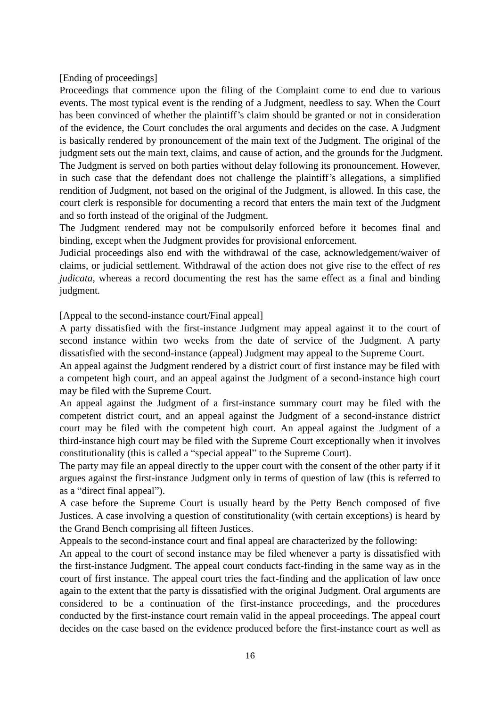[Ending of proceedings]

Proceedings that commence upon the filing of the Complaint come to end due to various events. The most typical event is the rending of a Judgment, needless to say. When the Court has been convinced of whether the plaintiff's claim should be granted or not in consideration of the evidence, the Court concludes the oral arguments and decides on the case. A Judgment is basically rendered by pronouncement of the main text of the Judgment. The original of the judgment sets out the main text, claims, and cause of action, and the grounds for the Judgment. The Judgment is served on both parties without delay following its pronouncement. However, in such case that the defendant does not challenge the plaintiff's allegations, a simplified rendition of Judgment, not based on the original of the Judgment, is allowed. In this case, the court clerk is responsible for documenting a record that enters the main text of the Judgment and so forth instead of the original of the Judgment.

The Judgment rendered may not be compulsorily enforced before it becomes final and binding, except when the Judgment provides for provisional enforcement.

Judicial proceedings also end with the withdrawal of the case, acknowledgement/waiver of claims, or judicial settlement. Withdrawal of the action does not give rise to the effect of *res judicata*, whereas a record documenting the rest has the same effect as a final and binding judgment.

[Appeal to the second-instance court/Final appeal]

A party dissatisfied with the first-instance Judgment may appeal against it to the court of second instance within two weeks from the date of service of the Judgment. A party dissatisfied with the second-instance (appeal) Judgment may appeal to the Supreme Court.

An appeal against the Judgment rendered by a district court of first instance may be filed with a competent high court, and an appeal against the Judgment of a second-instance high court may be filed with the Supreme Court.

An appeal against the Judgment of a first-instance summary court may be filed with the competent district court, and an appeal against the Judgment of a second-instance district court may be filed with the competent high court. An appeal against the Judgment of a third-instance high court may be filed with the Supreme Court exceptionally when it involves constitutionality (this is called a "special appeal" to the Supreme Court).

The party may file an appeal directly to the upper court with the consent of the other party if it argues against the first-instance Judgment only in terms of question of law (this is referred to as a "direct final appeal").

A case before the Supreme Court is usually heard by the Petty Bench composed of five Justices. A case involving a question of constitutionality (with certain exceptions) is heard by the Grand Bench comprising all fifteen Justices.

Appeals to the second-instance court and final appeal are characterized by the following:

An appeal to the court of second instance may be filed whenever a party is dissatisfied with the first-instance Judgment. The appeal court conducts fact-finding in the same way as in the court of first instance. The appeal court tries the fact-finding and the application of law once again to the extent that the party is dissatisfied with the original Judgment. Oral arguments are considered to be a continuation of the first-instance proceedings, and the procedures conducted by the first-instance court remain valid in the appeal proceedings. The appeal court decides on the case based on the evidence produced before the first-instance court as well as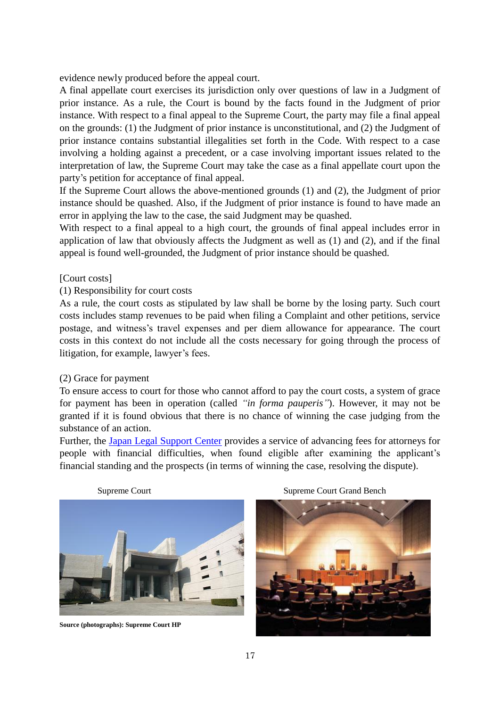evidence newly produced before the appeal court.

A final appellate court exercises its jurisdiction only over questions of law in a Judgment of prior instance. As a rule, the Court is bound by the facts found in the Judgment of prior instance. With respect to a final appeal to the Supreme Court, the party may file a final appeal on the grounds: (1) the Judgment of prior instance is unconstitutional, and (2) the Judgment of prior instance contains substantial illegalities set forth in the Code. With respect to a case involving a holding against a precedent, or a case involving important issues related to the interpretation of law, the Supreme Court may take the case as a final appellate court upon the party's petition for acceptance of final appeal.

If the Supreme Court allows the above-mentioned grounds (1) and (2), the Judgment of prior instance should be quashed. Also, if the Judgment of prior instance is found to have made an error in applying the law to the case, the said Judgment may be quashed.

With respect to a final appeal to a high court, the grounds of final appeal includes error in application of law that obviously affects the Judgment as well as (1) and (2), and if the final appeal is found well-grounded, the Judgment of prior instance should be quashed.

# [Court costs]

# (1) Responsibility for court costs

As a rule, the court costs as stipulated by law shall be borne by the losing party. Such court costs includes stamp revenues to be paid when filing a Complaint and other petitions, service postage, and witness's travel expenses and per diem allowance for appearance. The court costs in this context do not include all the costs necessary for going through the process of litigation, for example, lawyer's fees.

#### (2) Grace for payment

To ensure access to court for those who cannot afford to pay the court costs, a system of grace for payment has been in operation (called *"in forma pauperis"*). However, it may not be granted if it is found obvious that there is no chance of winning the case judging from the substance of an action.

Further, the [Japan Legal Support Center](http://www.houterasu.or.jp/) provides a service of advancing fees for attorneys for people with financial difficulties, when found eligible after examining the applicant's financial standing and the prospects (in terms of winning the case, resolving the dispute).



**Source (photographs): Supreme Court HP**

Supreme Court Supreme Court Grand Bench

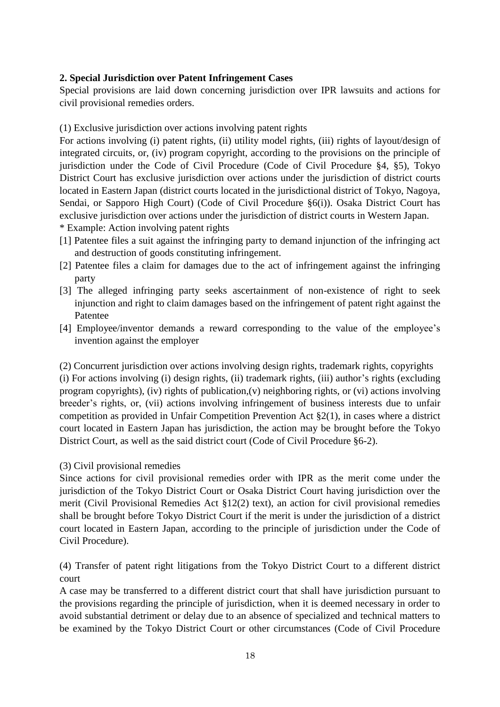# **2. Special Jurisdiction over Patent Infringement Cases**

Special provisions are laid down concerning jurisdiction over IPR lawsuits and actions for civil provisional remedies orders.

(1) Exclusive jurisdiction over actions involving patent rights

For actions involving (i) patent rights, (ii) utility model rights, (iii) rights of layout/design of integrated circuits, or, (iv) program copyright, according to the provisions on the principle of jurisdiction under the Code of Civil Procedure (Code of Civil Procedure §4, §5), Tokyo District Court has exclusive jurisdiction over actions under the jurisdiction of district courts located in Eastern Japan (district courts located in the jurisdictional district of Tokyo, Nagoya, Sendai, or Sapporo High Court) (Code of Civil Procedure §6(i)). Osaka District Court has exclusive jurisdiction over actions under the jurisdiction of district courts in Western Japan. \* Example: Action involving patent rights

- [1] Patentee files a suit against the infringing party to demand injunction of the infringing act and destruction of goods constituting infringement.
- [2] Patentee files a claim for damages due to the act of infringement against the infringing party
- [3] The alleged infringing party seeks ascertainment of non-existence of right to seek injunction and right to claim damages based on the infringement of patent right against the Patentee
- [4] Employee/inventor demands a reward corresponding to the value of the employee's invention against the employer

(2) Concurrent jurisdiction over actions involving design rights, trademark rights, copyrights (i) For actions involving (i) design rights, (ii) trademark rights, (iii) author's rights (excluding program copyrights), (iv) rights of publication,(v) neighboring rights, or (vi) actions involving breeder's rights, or, (vii) actions involving infringement of business interests due to unfair competition as provided in Unfair Competition Prevention Act §2(1), in cases where a district court located in Eastern Japan has jurisdiction, the action may be brought before the Tokyo

District Court, as well as the said district court (Code of Civil Procedure §6-2).

#### (3) Civil provisional remedies

Since actions for civil provisional remedies order with IPR as the merit come under the jurisdiction of the Tokyo District Court or Osaka District Court having jurisdiction over the merit (Civil Provisional Remedies Act  $\S 12(2)$  text), an action for civil provisional remedies shall be brought before Tokyo District Court if the merit is under the jurisdiction of a district court located in Eastern Japan, according to the principle of jurisdiction under the Code of Civil Procedure).

(4) Transfer of patent right litigations from the Tokyo District Court to a different district court

A case may be transferred to a different district court that shall have jurisdiction pursuant to the provisions regarding the principle of jurisdiction, when it is deemed necessary in order to avoid substantial detriment or delay due to an absence of specialized and technical matters to be examined by the Tokyo District Court or other circumstances (Code of Civil Procedure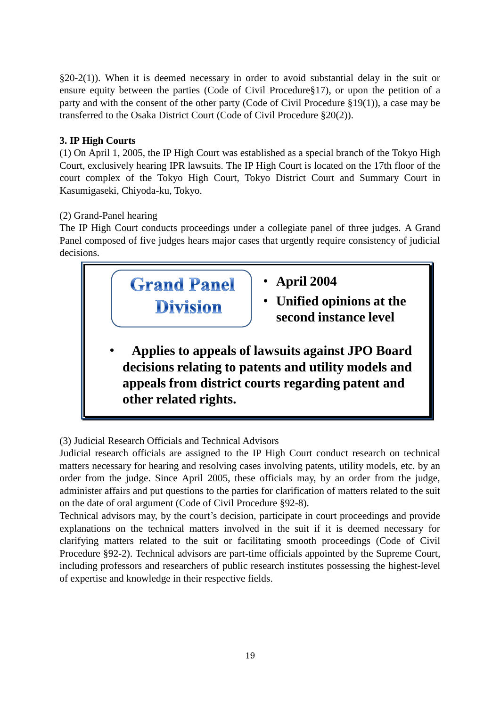§20-2(1)). When it is deemed necessary in order to avoid substantial delay in the suit or ensure equity between the parties (Code of Civil Procedure§17), or upon the petition of a party and with the consent of the other party (Code of Civil Procedure §19(1)), a case may be transferred to the Osaka District Court (Code of Civil Procedure §20(2)).

# **3. IP High Courts**

(1) On April 1, 2005, the IP High Court was established as a special branch of the Tokyo High Court, exclusively hearing IPR lawsuits. The IP High Court is located on the 17th floor of the court complex of the Tokyo High Court, Tokyo District Court and Summary Court in Kasumigaseki, Chiyoda-ku, Tokyo.

# (2) Grand-Panel hearing

The IP High Court conducts proceedings under a collegiate panel of three judges. A Grand Panel composed of five judges hears major cases that urgently require consistency of judicial decisions.



(3) Judicial Research Officials and Technical Advisors

Judicial research officials are assigned to the IP High Court conduct research on technical matters necessary for hearing and resolving cases involving patents, utility models, etc. by an order from the judge. Since April 2005, these officials may, by an order from the judge, administer affairs and put questions to the parties for clarification of matters related to the suit on the date of oral argument (Code of Civil Procedure §92-8).

Technical advisors may, by the court's decision, participate in court proceedings and provide explanations on the technical matters involved in the suit if it is deemed necessary for clarifying matters related to the suit or facilitating smooth proceedings (Code of Civil Procedure §92-2). Technical advisors are part-time officials appointed by the Supreme Court, including professors and researchers of public research institutes possessing the highest-level of expertise and knowledge in their respective fields.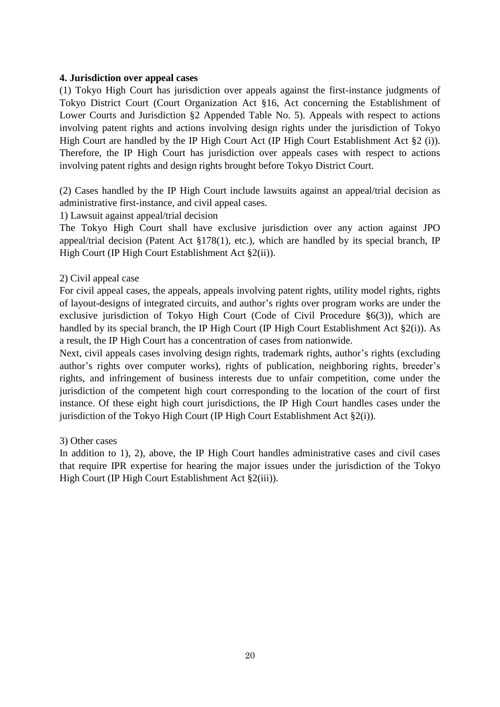#### **4. Jurisdiction over appeal cases**

(1) Tokyo High Court has jurisdiction over appeals against the first-instance judgments of Tokyo District Court (Court Organization Act §16, Act concerning the Establishment of Lower Courts and Jurisdiction §2 Appended Table No. 5). Appeals with respect to actions involving patent rights and actions involving design rights under the jurisdiction of Tokyo High Court are handled by the IP High Court Act (IP High Court Establishment Act §2 (i)). Therefore, the IP High Court has jurisdiction over appeals cases with respect to actions involving patent rights and design rights brought before Tokyo District Court.

(2) Cases handled by the IP High Court include lawsuits against an appeal/trial decision as administrative first-instance, and civil appeal cases.

1) Lawsuit against appeal/trial decision

The Tokyo High Court shall have exclusive jurisdiction over any action against JPO appeal/trial decision (Patent Act §178(1), etc.), which are handled by its special branch, IP High Court (IP High Court Establishment Act §2(ii)).

# 2) Civil appeal case

For civil appeal cases, the appeals, appeals involving patent rights, utility model rights, rights of layout-designs of integrated circuits, and author's rights over program works are under the exclusive jurisdiction of Tokyo High Court (Code of Civil Procedure §6(3)), which are handled by its special branch, the IP High Court (IP High Court Establishment Act §2(i)). As a result, the IP High Court has a concentration of cases from nationwide.

Next, civil appeals cases involving design rights, trademark rights, author's rights (excluding author's rights over computer works), rights of publication, neighboring rights, breeder's rights, and infringement of business interests due to unfair competition, come under the jurisdiction of the competent high court corresponding to the location of the court of first instance. Of these eight high court jurisdictions, the IP High Court handles cases under the jurisdiction of the Tokyo High Court (IP High Court Establishment Act §2(i)).

#### 3) Other cases

In addition to 1), 2), above, the IP High Court handles administrative cases and civil cases that require IPR expertise for hearing the major issues under the jurisdiction of the Tokyo High Court (IP High Court Establishment Act §2(iii)).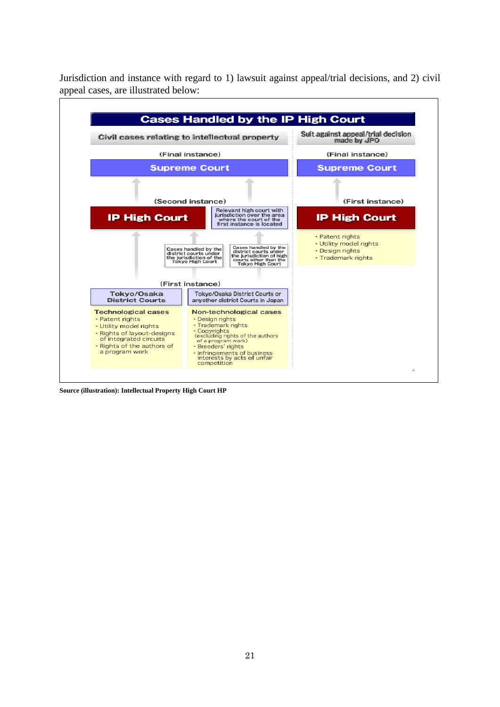Jurisdiction and instance with regard to 1) lawsuit against appeal/trial decisions, and 2) civil appeal cases, are illustrated below:



**Source (illustration): Intellectual Property High Court HP**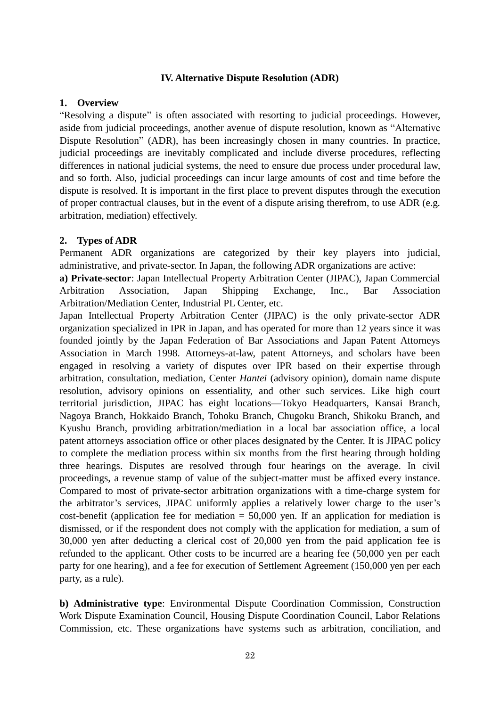#### **IV. Alternative Dispute Resolution (ADR)**

#### **1. Overview**

―Resolving a dispute‖ is often associated with resorting to judicial proceedings. However, aside from judicial proceedings, another avenue of dispute resolution, known as "Alternative" Dispute Resolution" (ADR), has been increasingly chosen in many countries. In practice, judicial proceedings are inevitably complicated and include diverse procedures, reflecting differences in national judicial systems, the need to ensure due process under procedural law, and so forth. Also, judicial proceedings can incur large amounts of cost and time before the dispute is resolved. It is important in the first place to prevent disputes through the execution of proper contractual clauses, but in the event of a dispute arising therefrom, to use ADR (e.g. arbitration, mediation) effectively.

#### **2. Types of ADR**

Permanent ADR organizations are categorized by their key players into judicial, administrative, and private-sector. In Japan, the following ADR organizations are active:

**a) Private-sector**: Japan Intellectual Property Arbitration Center (JIPAC), Japan Commercial Arbitration Association, Japan Shipping Exchange, Inc., Bar Association Arbitration/Mediation Center, Industrial PL Center, etc.

Japan Intellectual Property Arbitration Center (JIPAC) is the only private-sector ADR organization specialized in IPR in Japan, and has operated for more than 12 years since it was founded jointly by the Japan Federation of Bar Associations and Japan Patent Attorneys Association in March 1998. Attorneys-at-law, patent Attorneys, and scholars have been engaged in resolving a variety of disputes over IPR based on their expertise through arbitration, consultation, mediation, Center *Hantei* (advisory opinion), domain name dispute resolution, advisory opinions on essentiality, and other such services. Like high court territorial jurisdiction, JIPAC has eight locations—Tokyo Headquarters, Kansai Branch, Nagoya Branch, Hokkaido Branch, Tohoku Branch, Chugoku Branch, Shikoku Branch, and Kyushu Branch, providing arbitration/mediation in a local bar association office, a local patent attorneys association office or other places designated by the Center. It is JIPAC policy to complete the mediation process within six months from the first hearing through holding three hearings. Disputes are resolved through four hearings on the average. In civil proceedings, a revenue stamp of value of the subject-matter must be affixed every instance. Compared to most of private-sector arbitration organizations with a time-charge system for the arbitrator's services, JIPAC uniformly applies a relatively lower charge to the user's cost-benefit (application fee for mediation  $= 50,000$  yen. If an application for mediation is dismissed, or if the respondent does not comply with the application for mediation, a sum of 30,000 yen after deducting a clerical cost of 20,000 yen from the paid application fee is refunded to the applicant. Other costs to be incurred are a hearing fee (50,000 yen per each party for one hearing), and a fee for execution of Settlement Agreement (150,000 yen per each party, as a rule).

**b) Administrative type**: Environmental Dispute Coordination Commission, Construction Work Dispute Examination Council, Housing Dispute Coordination Council, Labor Relations Commission, etc. These organizations have systems such as arbitration, conciliation, and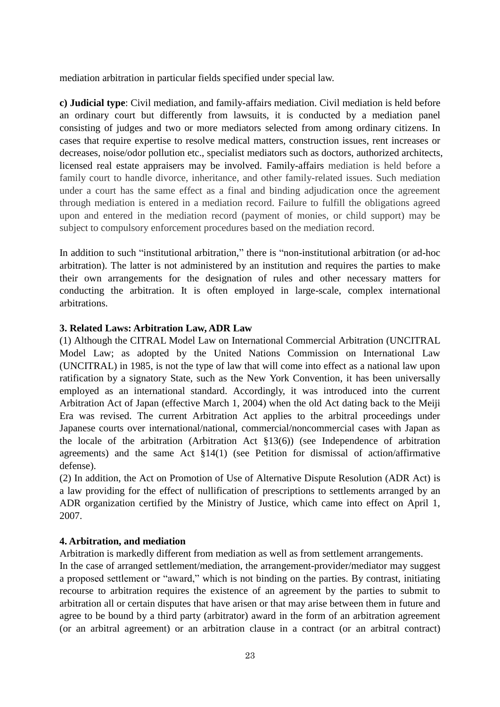mediation arbitration in particular fields specified under special law.

**c) Judicial type**: Civil mediation, and family-affairs mediation. Civil mediation is held before an ordinary court but differently from lawsuits, it is conducted by a mediation panel consisting of judges and two or more mediators selected from among ordinary citizens. In cases that require expertise to resolve medical matters, construction issues, rent increases or decreases, noise/odor pollution etc., specialist mediators such as doctors, authorized architects, licensed real estate appraisers may be involved. Family-affairs mediation is held before a family court to handle divorce, inheritance, and other family-related issues. Such mediation under a court has the same effect as a final and binding adjudication once the agreement through mediation is entered in a mediation record. Failure to fulfill the obligations agreed upon and entered in the mediation record (payment of monies, or child support) may be subject to compulsory enforcement procedures based on the mediation record.

In addition to such "institutional arbitration," there is "non-institutional arbitration (or ad-hoc arbitration). The latter is not administered by an institution and requires the parties to make their own arrangements for the designation of rules and other necessary matters for conducting the arbitration. It is often employed in large-scale, complex international arbitrations.

# **3. Related Laws: Arbitration Law, ADR Law**

(1) Although the CITRAL Model Law on International Commercial Arbitration (UNCITRAL Model Law; as adopted by the United Nations Commission on International Law (UNCITRAL) in 1985, is not the type of law that will come into effect as a national law upon ratification by a signatory State, such as the New York Convention, it has been universally employed as an international standard. Accordingly, it was introduced into the current Arbitration Act of Japan (effective March 1, 2004) when the old Act dating back to the Meiji Era was revised. The current Arbitration Act applies to the arbitral proceedings under Japanese courts over international/national, commercial/noncommercial cases with Japan as the locale of the arbitration (Arbitration Act §13(6)) (see Independence of arbitration agreements) and the same Act §14(1) (see Petition for dismissal of action/affirmative defense).

(2) In addition, the Act on Promotion of Use of Alternative Dispute Resolution (ADR Act) is a law providing for the effect of nullification of prescriptions to settlements arranged by an ADR organization certified by the Ministry of Justice, which came into effect on April 1, 2007.

#### **4. Arbitration, and mediation**

Arbitration is markedly different from mediation as well as from settlement arrangements.

In the case of arranged settlement/mediation, the arrangement-provider/mediator may suggest a proposed settlement or "award," which is not binding on the parties. By contrast, initiating recourse to arbitration requires the existence of an agreement by the parties to submit to arbitration all or certain disputes that have arisen or that may arise between them in future and agree to be bound by a third party (arbitrator) award in the form of an arbitration agreement (or an arbitral agreement) or an arbitration clause in a contract (or an arbitral contract)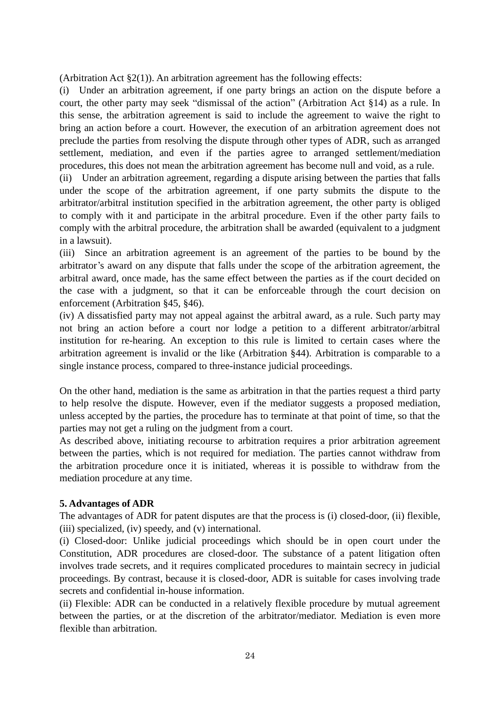(Arbitration Act  $\S2(1)$ ). An arbitration agreement has the following effects:

(i) Under an arbitration agreement, if one party brings an action on the dispute before a court, the other party may seek "dismissal of the action" (Arbitration Act  $\S14$ ) as a rule. In this sense, the arbitration agreement is said to include the agreement to waive the right to bring an action before a court. However, the execution of an arbitration agreement does not preclude the parties from resolving the dispute through other types of ADR, such as arranged settlement, mediation, and even if the parties agree to arranged settlement/mediation procedures, this does not mean the arbitration agreement has become null and void, as a rule.

(ii) Under an arbitration agreement, regarding a dispute arising between the parties that falls under the scope of the arbitration agreement, if one party submits the dispute to the arbitrator/arbitral institution specified in the arbitration agreement, the other party is obliged to comply with it and participate in the arbitral procedure. Even if the other party fails to comply with the arbitral procedure, the arbitration shall be awarded (equivalent to a judgment in a lawsuit).

(iii) Since an arbitration agreement is an agreement of the parties to be bound by the arbitrator's award on any dispute that falls under the scope of the arbitration agreement, the arbitral award, once made, has the same effect between the parties as if the court decided on the case with a judgment, so that it can be enforceable through the court decision on enforcement (Arbitration §45, §46).

(iv) A dissatisfied party may not appeal against the arbitral award, as a rule. Such party may not bring an action before a court nor lodge a petition to a different arbitrator/arbitral institution for re-hearing. An exception to this rule is limited to certain cases where the arbitration agreement is invalid or the like (Arbitration §44). Arbitration is comparable to a single instance process, compared to three-instance judicial proceedings.

On the other hand, mediation is the same as arbitration in that the parties request a third party to help resolve the dispute. However, even if the mediator suggests a proposed mediation, unless accepted by the parties, the procedure has to terminate at that point of time, so that the parties may not get a ruling on the judgment from a court.

As described above, initiating recourse to arbitration requires a prior arbitration agreement between the parties, which is not required for mediation. The parties cannot withdraw from the arbitration procedure once it is initiated, whereas it is possible to withdraw from the mediation procedure at any time.

#### **5. Advantages of ADR**

The advantages of ADR for patent disputes are that the process is (i) closed-door, (ii) flexible, (iii) specialized, (iv) speedy, and (v) international.

(i) Closed-door: Unlike judicial proceedings which should be in open court under the Constitution, ADR procedures are closed-door. The substance of a patent litigation often involves trade secrets, and it requires complicated procedures to maintain secrecy in judicial proceedings. By contrast, because it is closed-door, ADR is suitable for cases involving trade secrets and confidential in-house information.

(ii) Flexible: ADR can be conducted in a relatively flexible procedure by mutual agreement between the parties, or at the discretion of the arbitrator/mediator. Mediation is even more flexible than arbitration.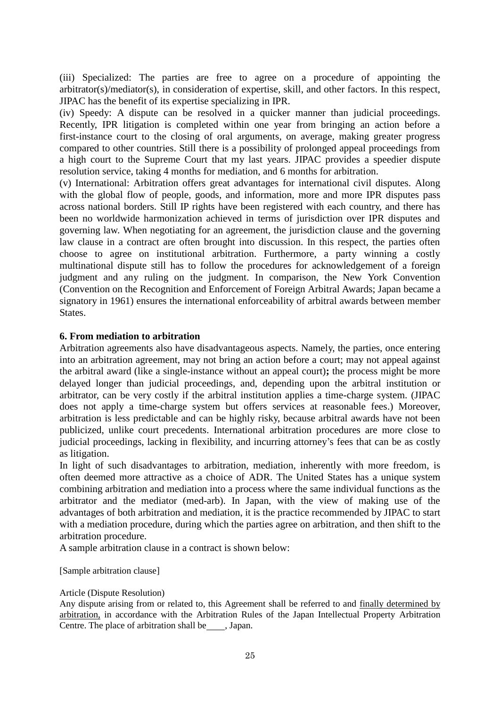(iii) Specialized: The parties are free to agree on a procedure of appointing the arbitrator(s)/mediator(s), in consideration of expertise, skill, and other factors. In this respect, JIPAC has the benefit of its expertise specializing in IPR.

(iv) Speedy: A dispute can be resolved in a quicker manner than judicial proceedings. Recently, IPR litigation is completed within one year from bringing an action before a first-instance court to the closing of oral arguments, on average, making greater progress compared to other countries. Still there is a possibility of prolonged appeal proceedings from a high court to the Supreme Court that my last years. JIPAC provides a speedier dispute resolution service, taking 4 months for mediation, and 6 months for arbitration.

(v) International: Arbitration offers great advantages for international civil disputes. Along with the global flow of people, goods, and information, more and more IPR disputes pass across national borders. Still IP rights have been registered with each country, and there has been no worldwide harmonization achieved in terms of jurisdiction over IPR disputes and governing law. When negotiating for an agreement, the jurisdiction clause and the governing law clause in a contract are often brought into discussion. In this respect, the parties often choose to agree on institutional arbitration. Furthermore, a party winning a costly multinational dispute still has to follow the procedures for acknowledgement of a foreign judgment and any ruling on the judgment. In comparison, the New York Convention (Convention on the Recognition and Enforcement of Foreign Arbitral Awards; Japan became a signatory in 1961) ensures the international enforceability of arbitral awards between member States.

# **6. From mediation to arbitration**

Arbitration agreements also have disadvantageous aspects. Namely, the parties, once entering into an arbitration agreement, may not bring an action before a court; may not appeal against the arbitral award (like a single-instance without an appeal court)**;** the process might be more delayed longer than judicial proceedings, and, depending upon the arbitral institution or arbitrator, can be very costly if the arbitral institution applies a time-charge system. (JIPAC does not apply a time-charge system but offers services at reasonable fees.) Moreover, arbitration is less predictable and can be highly risky, because arbitral awards have not been publicized, unlike court precedents. International arbitration procedures are more close to judicial proceedings, lacking in flexibility, and incurring attorney's fees that can be as costly as litigation.

In light of such disadvantages to arbitration, mediation, inherently with more freedom, is often deemed more attractive as a choice of ADR. The United States has a unique system combining arbitration and mediation into a process where the same individual functions as the arbitrator and the mediator (med-arb). In Japan, with the view of making use of the advantages of both arbitration and mediation, it is the practice recommended by JIPAC to start with a mediation procedure, during which the parties agree on arbitration, and then shift to the arbitration procedure.

A sample arbitration clause in a contract is shown below:

[Sample arbitration clause]

#### Article (Dispute Resolution)

Any dispute arising from or related to, this Agreement shall be referred to and finally determined by arbitration, in accordance with the Arbitration Rules of the Japan Intellectual Property Arbitration Centre. The place of arbitration shall be , Japan.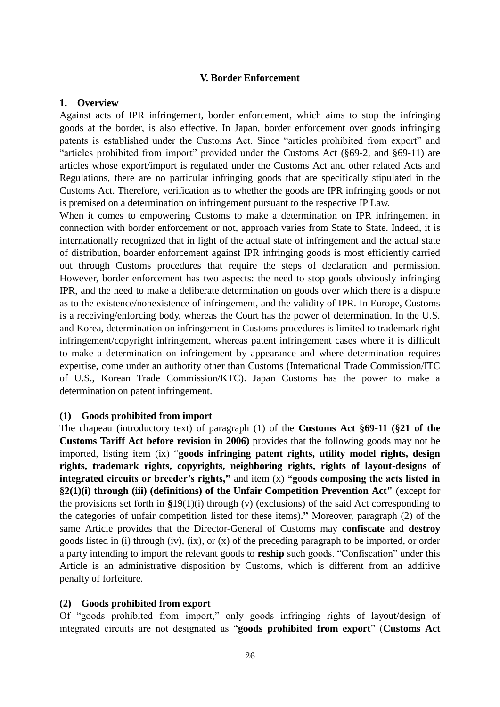#### **V. Border Enforcement**

#### **1. Overview**

Against acts of IPR infringement, border enforcement, which aims to stop the infringing goods at the border, is also effective. In Japan, border enforcement over goods infringing patents is established under the Customs Act. Since "articles prohibited from export" and "articles prohibited from import" provided under the Customs Act ( $§69-2$ , and  $§69-11$ ) are articles whose export/import is regulated under the Customs Act and other related Acts and Regulations, there are no particular infringing goods that are specifically stipulated in the Customs Act. Therefore, verification as to whether the goods are IPR infringing goods or not is premised on a determination on infringement pursuant to the respective IP Law.

When it comes to empowering Customs to make a determination on IPR infringement in connection with border enforcement or not, approach varies from State to State. Indeed, it is internationally recognized that in light of the actual state of infringement and the actual state of distribution, boarder enforcement against IPR infringing goods is most efficiently carried out through Customs procedures that require the steps of declaration and permission. However, border enforcement has two aspects: the need to stop goods obviously infringing IPR, and the need to make a deliberate determination on goods over which there is a dispute as to the existence/nonexistence of infringement, and the validity of IPR. In Europe, Customs is a receiving/enforcing body, whereas the Court has the power of determination. In the U.S. and Korea, determination on infringement in Customs procedures is limited to trademark right infringement/copyright infringement, whereas patent infringement cases where it is difficult to make a determination on infringement by appearance and where determination requires expertise, come under an authority other than Customs (International Trade Commission/ITC of U.S., Korean Trade Commission/KTC). Japan Customs has the power to make a determination on patent infringement.

#### **(1) Goods prohibited from import**

The chapeau (introductory text) of paragraph (1) of the **Customs Act §69-11 (§21 of the Customs Tariff Act before revision in 2006)** provides that the following goods may not be imported, listing item (ix) "goods infringing patent rights, utility model rights, design **rights, trademark rights, copyrights, neighboring rights, rights of layout-designs of integrated circuits or breeder's rights,"** and item (x) **"goods composing the acts listed in §2(1)(i) through (iii) (definitions) of the Unfair Competition Prevention Act"** (except for the provisions set forth in **§**19(1)(i) through (v) (exclusions) of the said Act corresponding to the categories of unfair competition listed for these items)**."** Moreover, paragraph (2) of the same Article provides that the Director-General of Customs may **confiscate** and **destroy** goods listed in (i) through (iv), (ix), or (x) of the preceding paragraph to be imported, or order a party intending to import the relevant goods to **reship** such goods. "Confiscation" under this Article is an administrative disposition by Customs, which is different from an additive penalty of forfeiture.

#### **(2) Goods prohibited from export**

Of "goods prohibited from import," only goods infringing rights of layout/design of integrated circuits are not designated as "goods prohibited from export" (Customs Act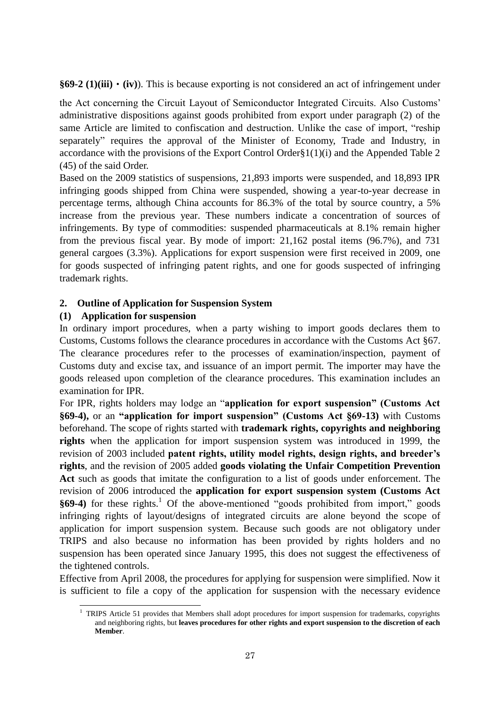**§69-2 (1)(iii)**・**(iv)**). This is because exporting is not considered an act of infringement under

the Act concerning the Circuit Layout of Semiconductor Integrated Circuits. Also Customs' administrative dispositions against goods prohibited from export under paragraph (2) of the same Article are limited to confiscation and destruction. Unlike the case of import, "reship separately" requires the approval of the Minister of Economy, Trade and Industry, in accordance with the provisions of the Export Control Order§1(1)(i) and the Appended Table 2 (45) of the said Order.

Based on the 2009 statistics of suspensions, 21,893 imports were suspended, and 18,893 IPR infringing goods shipped from China were suspended, showing a year-to-year decrease in percentage terms, although China accounts for 86.3% of the total by source country, a 5% increase from the previous year. These numbers indicate a concentration of sources of infringements. By type of commodities: suspended pharmaceuticals at 8.1% remain higher from the previous fiscal year. By mode of import: 21,162 postal items (96.7%), and 731 general cargoes (3.3%). Applications for export suspension were first received in 2009, one for goods suspected of infringing patent rights, and one for goods suspected of infringing trademark rights.

# **2. Outline of Application for Suspension System**

# **(1) Application for suspension**

In ordinary import procedures, when a party wishing to import goods declares them to Customs, Customs follows the clearance procedures in accordance with the Customs Act §67. The clearance procedures refer to the processes of examination/inspection, payment of Customs duty and excise tax, and issuance of an import permit. The importer may have the goods released upon completion of the clearance procedures. This examination includes an examination for IPR.

For IPR, rights holders may lodge an "application for export suspension" (Customs Act **§69-4),** or an **"application for import suspension" (Customs Act §69-13)** with Customs beforehand. The scope of rights started with **trademark rights, copyrights and neighboring rights** when the application for import suspension system was introduced in 1999, the revision of 2003 included **patent rights, utility model rights, design rights, and breeder's rights**, and the revision of 2005 added **goods violating the Unfair Competition Prevention Act** such as goods that imitate the configuration to a list of goods under enforcement. The revision of 2006 introduced the **application for export suspension system (Customs Act §69-4)** for these rights.<sup>1</sup> Of the above-mentioned "goods prohibited from import," goods infringing rights of layout/designs of integrated circuits are alone beyond the scope of application for import suspension system. Because such goods are not obligatory under TRIPS and also because no information has been provided by rights holders and no suspension has been operated since January 1995, this does not suggest the effectiveness of the tightened controls.

Effective from April 2008, the procedures for applying for suspension were simplified. Now it is sufficient to file a copy of the application for suspension with the necessary evidence

 $\overline{a}$ <sup>1</sup> TRIPS Article 51 provides that Members shall adopt procedures for import suspension for trademarks, copyrights and neighboring rights, but **leaves procedures for other rights and export suspension to the discretion of each Member**.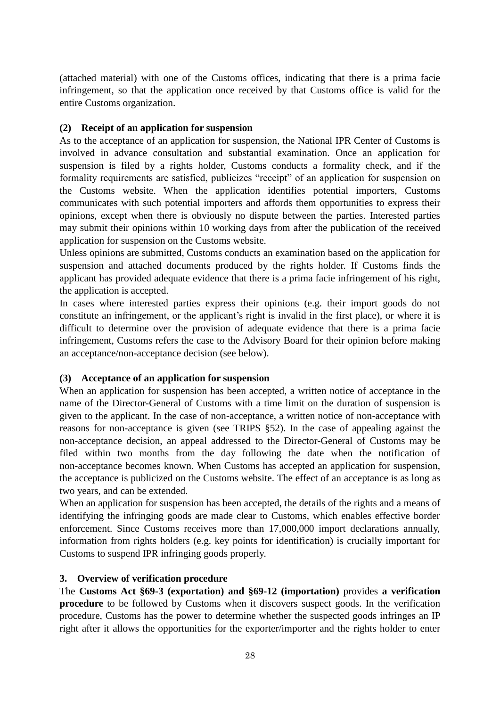(attached material) with one of the Customs offices, indicating that there is a prima facie infringement, so that the application once received by that Customs office is valid for the entire Customs organization.

# **(2) Receipt of an application for suspension**

As to the acceptance of an application for suspension, the National IPR Center of Customs is involved in advance consultation and substantial examination. Once an application for suspension is filed by a rights holder, Customs conducts a formality check, and if the formality requirements are satisfied, publicizes "receipt" of an application for suspension on the Customs website. When the application identifies potential importers, Customs communicates with such potential importers and affords them opportunities to express their opinions, except when there is obviously no dispute between the parties. Interested parties may submit their opinions within 10 working days from after the publication of the received application for suspension on the Customs website.

Unless opinions are submitted, Customs conducts an examination based on the application for suspension and attached documents produced by the rights holder. If Customs finds the applicant has provided adequate evidence that there is a prima facie infringement of his right, the application is accepted.

In cases where interested parties express their opinions (e.g. their import goods do not constitute an infringement, or the applicant's right is invalid in the first place), or where it is difficult to determine over the provision of adequate evidence that there is a prima facie infringement, Customs refers the case to the Advisory Board for their opinion before making an acceptance/non-acceptance decision (see below).

# **(3) Acceptance of an application for suspension**

When an application for suspension has been accepted, a written notice of acceptance in the name of the Director-General of Customs with a time limit on the duration of suspension is given to the applicant. In the case of non-acceptance, a written notice of non-acceptance with reasons for non-acceptance is given (see TRIPS §52). In the case of appealing against the non-acceptance decision, an appeal addressed to the Director-General of Customs may be filed within two months from the day following the date when the notification of non-acceptance becomes known. When Customs has accepted an application for suspension, the acceptance is publicized on the Customs website. The effect of an acceptance is as long as two years, and can be extended.

When an application for suspension has been accepted, the details of the rights and a means of identifying the infringing goods are made clear to Customs, which enables effective border enforcement. Since Customs receives more than 17,000,000 import declarations annually, information from rights holders (e.g. key points for identification) is crucially important for Customs to suspend IPR infringing goods properly.

# **3. Overview of verification procedure**

The **Customs Act §69-3 (exportation) and §69-12 (importation)** provides **a verification procedure** to be followed by Customs when it discovers suspect goods. In the verification procedure, Customs has the power to determine whether the suspected goods infringes an IP right after it allows the opportunities for the exporter/importer and the rights holder to enter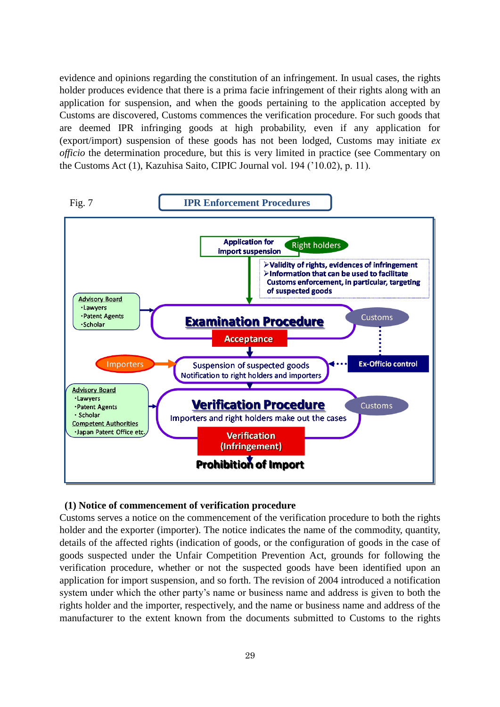evidence and opinions regarding the constitution of an infringement. In usual cases, the rights holder produces evidence that there is a prima facie infringement of their rights along with an application for suspension, and when the goods pertaining to the application accepted by Customs are discovered, Customs commences the verification procedure. For such goods that are deemed IPR infringing goods at high probability, even if any application for (export/import) suspension of these goods has not been lodged, Customs may initiate *ex officio* the determination procedure, but this is very limited in practice (see Commentary on the Customs Act (1), Kazuhisa Saito, CIPIC Journal vol. 194 ('10.02), p. 11).



#### **(1) Notice of commencement of verification procedure**

Customs serves a notice on the commencement of the verification procedure to both the rights holder and the exporter (importer). The notice indicates the name of the commodity, quantity, details of the affected rights (indication of goods, or the configuration of goods in the case of goods suspected under the Unfair Competition Prevention Act, grounds for following the verification procedure, whether or not the suspected goods have been identified upon an application for import suspension, and so forth. The revision of 2004 introduced a notification system under which the other party's name or business name and address is given to both the rights holder and the importer, respectively, and the name or business name and address of the manufacturer to the extent known from the documents submitted to Customs to the rights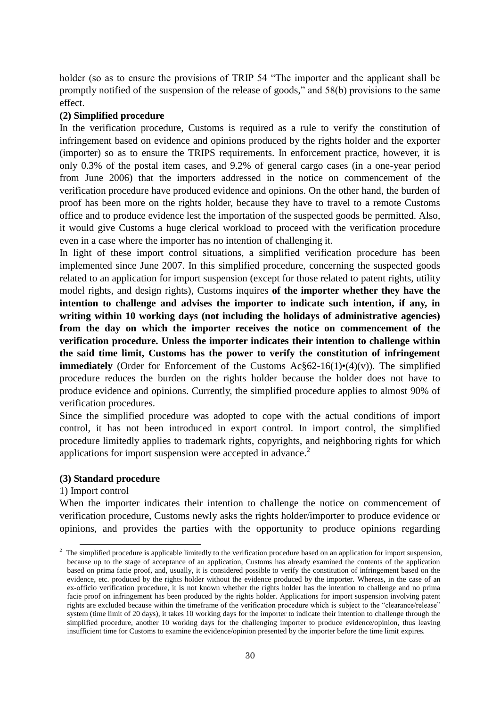holder (so as to ensure the provisions of TRIP 54 "The importer and the applicant shall be promptly notified of the suspension of the release of goods," and  $58(b)$  provisions to the same effect.

#### **(2) Simplified procedure**

In the verification procedure, Customs is required as a rule to verify the constitution of infringement based on evidence and opinions produced by the rights holder and the exporter (importer) so as to ensure the TRIPS requirements. In enforcement practice, however, it is only 0.3% of the postal item cases, and 9.2% of general cargo cases (in a one-year period from June 2006) that the importers addressed in the notice on commencement of the verification procedure have produced evidence and opinions. On the other hand, the burden of proof has been more on the rights holder, because they have to travel to a remote Customs office and to produce evidence lest the importation of the suspected goods be permitted. Also, it would give Customs a huge clerical workload to proceed with the verification procedure even in a case where the importer has no intention of challenging it.

In light of these import control situations, a simplified verification procedure has been implemented since June 2007. In this simplified procedure, concerning the suspected goods related to an application for import suspension (except for those related to patent rights, utility model rights, and design rights), Customs inquires **of the importer whether they have the intention to challenge and advises the importer to indicate such intention, if any, in writing within 10 working days (not including the holidays of administrative agencies) from the day on which the importer receives the notice on commencement of the verification procedure. Unless the importer indicates their intention to challenge within the said time limit, Customs has the power to verify the constitution of infringement immediately** (Order for Enforcement of the Customs  $Ac\$  62-16(1) $\cdot$ (4)(v)). The simplified procedure reduces the burden on the rights holder because the holder does not have to produce evidence and opinions. Currently, the simplified procedure applies to almost 90% of verification procedures.

Since the simplified procedure was adopted to cope with the actual conditions of import control, it has not been introduced in export control. In import control, the simplified procedure limitedly applies to trademark rights, copyrights, and neighboring rights for which applications for import suspension were accepted in advance.<sup>2</sup>

#### **(3) Standard procedure**

#### 1) Import control

 $\overline{a}$ 

When the importer indicates their intention to challenge the notice on commencement of verification procedure, Customs newly asks the rights holder/importer to produce evidence or opinions, and provides the parties with the opportunity to produce opinions regarding

<sup>&</sup>lt;sup>2</sup> The simplified procedure is applicable limitedly to the verification procedure based on an application for import suspension, because up to the stage of acceptance of an application, Customs has already examined the contents of the application based on prima facie proof, and, usually, it is considered possible to verify the constitution of infringement based on the evidence, etc. produced by the rights holder without the evidence produced by the importer. Whereas, in the case of an ex-officio verification procedure, it is not known whether the rights holder has the intention to challenge and no prima facie proof on infringement has been produced by the rights holder. Applications for import suspension involving patent rights are excluded because within the timeframe of the verification procedure which is subject to the "clearance/release" system (time limit of 20 days), it takes 10 working days for the importer to indicate their intention to challenge through the simplified procedure, another 10 working days for the challenging importer to produce evidence/opinion, thus leaving insufficient time for Customs to examine the evidence/opinion presented by the importer before the time limit expires.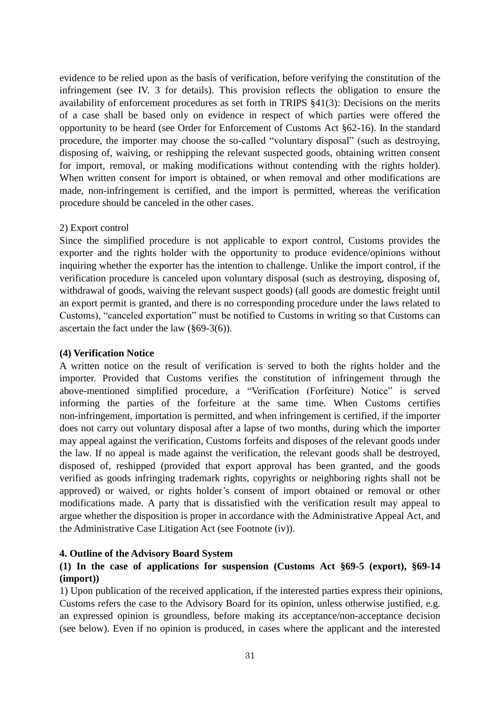evidence to be relied upon as the basis of verification, before verifying the constitution of the infringement (see IV. 3 for details). This provision reflects the obligation to ensure the availability of enforcement procedures as set forth in TRIPS §41(3): Decisions on the merits of a case shall be based only on evidence in respect of which parties were offered the opportunity to be heard (see Order for Enforcement of Customs Act §62-16). In the standard procedure, the importer may choose the so-called "voluntary disposal" (such as destroying, disposing of, waiving, or reshipping the relevant suspected goods, obtaining written consent for import, removal, or making modifications without contending with the rights holder). When written consent for import is obtained, or when removal and other modifications are made, non-infringement is certified, and the import is permitted, whereas the verification procedure should be canceled in the other cases.

# 2) Export control

Since the simplified procedure is not applicable to export control, Customs provides the exporter and the rights holder with the opportunity to produce evidence/opinions without inquiring whether the exporter has the intention to challenge. Unlike the import control, if the verification procedure is canceled upon voluntary disposal (such as destroying, disposing of, withdrawal of goods, waiving the relevant suspect goods) (all goods are domestic freight until an export permit is granted, and there is no corresponding procedure under the laws related to Customs), "canceled exportation" must be notified to Customs in writing so that Customs can ascertain the fact under the law (§69-3(6)).

#### **(4) Verification Notice**

A written notice on the result of verification is served to both the rights holder and the importer. Provided that Customs verifies the constitution of infringement through the above-mentioned simplified procedure, a "Verification (Forfeiture) Notice" is served informing the parties of the forfeiture at the same time. When Customs certifies non-infringement, importation is permitted, and when infringement is certified, if the importer does not carry out voluntary disposal after a lapse of two months, during which the importer may appeal against the verification, Customs forfeits and disposes of the relevant goods under the law. If no appeal is made against the verification, the relevant goods shall be destroyed, disposed of, reshipped (provided that export approval has been granted, and the goods verified as goods infringing trademark rights, copyrights or neighboring rights shall not be approved) or waived, or rights holder's consent of import obtained or removal or other modifications made. A party that is dissatisfied with the verification result may appeal to argue whether the disposition is proper in accordance with the Administrative Appeal Act, and the Administrative Case Litigation Act (see Footnote (iv)).

#### **4. Outline of the Advisory Board System**

# **(1) In the case of applications for suspension (Customs Act §69-5 (export), §69-14 (import))**

1) Upon publication of the received application, if the interested parties express their opinions, Customs refers the case to the Advisory Board for its opinion, unless otherwise justified, e.g. an expressed opinion is groundless, before making its acceptance/non-acceptance decision (see below). Even if no opinion is produced, in cases where the applicant and the interested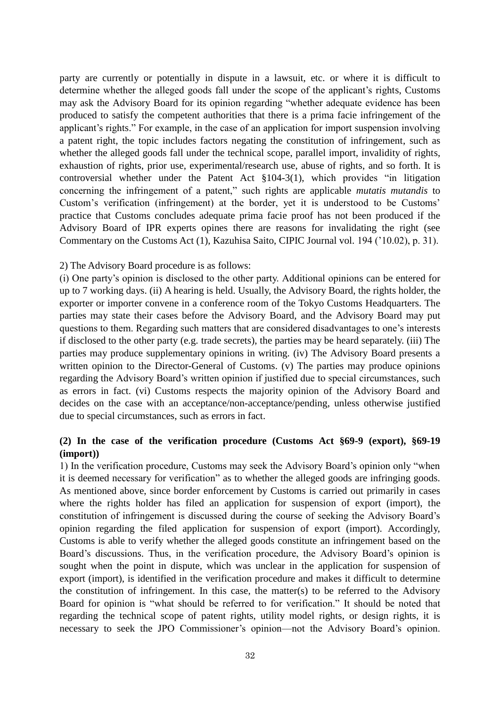party are currently or potentially in dispute in a lawsuit, etc. or where it is difficult to determine whether the alleged goods fall under the scope of the applicant's rights, Customs may ask the Advisory Board for its opinion regarding "whether adequate evidence has been produced to satisfy the competent authorities that there is a prima facie infringement of the applicant's rights." For example, in the case of an application for import suspension involving a patent right, the topic includes factors negating the constitution of infringement, such as whether the alleged goods fall under the technical scope, parallel import, invalidity of rights, exhaustion of rights, prior use, experimental/research use, abuse of rights, and so forth. It is controversial whether under the Patent Act  $$104-3(1)$ , which provides "in litigation concerning the infringement of a patent," such rights are applicable *mutatis mutandis* to Custom's verification (infringement) at the border, yet it is understood to be Customs' practice that Customs concludes adequate prima facie proof has not been produced if the Advisory Board of IPR experts opines there are reasons for invalidating the right (see Commentary on the Customs Act (1), Kazuhisa Saito, CIPIC Journal vol. 194 ('10.02), p. 31).

#### 2) The Advisory Board procedure is as follows:

(i) One party's opinion is disclosed to the other party. Additional opinions can be entered for up to 7 working days. (ii) A hearing is held. Usually, the Advisory Board, the rights holder, the exporter or importer convene in a conference room of the Tokyo Customs Headquarters. The parties may state their cases before the Advisory Board, and the Advisory Board may put questions to them. Regarding such matters that are considered disadvantages to one's interests if disclosed to the other party (e.g. trade secrets), the parties may be heard separately. (iii) The parties may produce supplementary opinions in writing. (iv) The Advisory Board presents a written opinion to the Director-General of Customs. (v) The parties may produce opinions regarding the Advisory Board's written opinion if justified due to special circumstances, such as errors in fact. (vi) Customs respects the majority opinion of the Advisory Board and decides on the case with an acceptance/non-acceptance/pending, unless otherwise justified due to special circumstances, such as errors in fact.

# **(2) In the case of the verification procedure (Customs Act §69-9 (export), §69-19 (import))**

1) In the verification procedure, Customs may seek the Advisory Board's opinion only "when it is deemed necessary for verification" as to whether the alleged goods are infringing goods. As mentioned above, since border enforcement by Customs is carried out primarily in cases where the rights holder has filed an application for suspension of export (import), the constitution of infringement is discussed during the course of seeking the Advisory Board's opinion regarding the filed application for suspension of export (import). Accordingly, Customs is able to verify whether the alleged goods constitute an infringement based on the Board's discussions. Thus, in the verification procedure, the Advisory Board's opinion is sought when the point in dispute, which was unclear in the application for suspension of export (import), is identified in the verification procedure and makes it difficult to determine the constitution of infringement. In this case, the matter(s) to be referred to the Advisory Board for opinion is "what should be referred to for verification." It should be noted that regarding the technical scope of patent rights, utility model rights, or design rights, it is necessary to seek the JPO Commissioner's opinion—not the Advisory Board's opinion.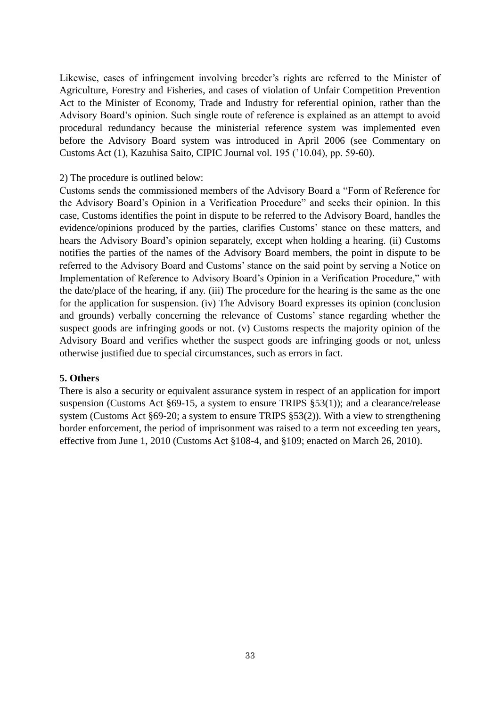Likewise, cases of infringement involving breeder's rights are referred to the Minister of Agriculture, Forestry and Fisheries, and cases of violation of Unfair Competition Prevention Act to the Minister of Economy, Trade and Industry for referential opinion, rather than the Advisory Board's opinion. Such single route of reference is explained as an attempt to avoid procedural redundancy because the ministerial reference system was implemented even before the Advisory Board system was introduced in April 2006 (see Commentary on Customs Act (1), Kazuhisa Saito, CIPIC Journal vol. 195 ('10.04), pp. 59-60).

#### 2) The procedure is outlined below:

Customs sends the commissioned members of the Advisory Board a "Form of Reference for the Advisory Board's Opinion in a Verification Procedure" and seeks their opinion. In this case, Customs identifies the point in dispute to be referred to the Advisory Board, handles the evidence/opinions produced by the parties, clarifies Customs' stance on these matters, and hears the Advisory Board's opinion separately, except when holding a hearing. (ii) Customs notifies the parties of the names of the Advisory Board members, the point in dispute to be referred to the Advisory Board and Customs' stance on the said point by serving a Notice on Implementation of Reference to Advisory Board's Opinion in a Verification Procedure," with the date/place of the hearing, if any. (iii) The procedure for the hearing is the same as the one for the application for suspension. (iv) The Advisory Board expresses its opinion (conclusion and grounds) verbally concerning the relevance of Customs' stance regarding whether the suspect goods are infringing goods or not. (v) Customs respects the majority opinion of the Advisory Board and verifies whether the suspect goods are infringing goods or not, unless otherwise justified due to special circumstances, such as errors in fact.

#### **5. Others**

There is also a security or equivalent assurance system in respect of an application for import suspension (Customs Act §69-15, a system to ensure TRIPS §53(1)); and a clearance/release system (Customs Act §69-20; a system to ensure TRIPS §53(2)). With a view to strengthening border enforcement, the period of imprisonment was raised to a term not exceeding ten years, effective from June 1, 2010 (Customs Act §108-4, and §109; enacted on March 26, 2010).